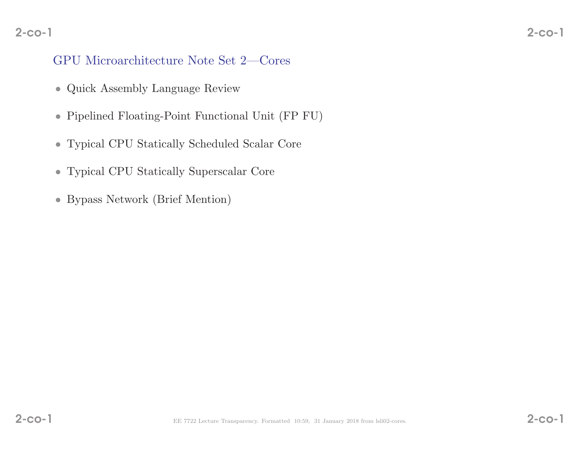#### 2-co-12-co-1

# GPU Microarchitecture Note Set 2—Cores

- Quick Assembly Language Review
- Pipelined Floating-Point Functional Unit (FP FU)
- Typical CPU Statically Scheduled Scalar Core
- Typical CPU Statically Superscalar Core
- Bypass Network (Brief Mention)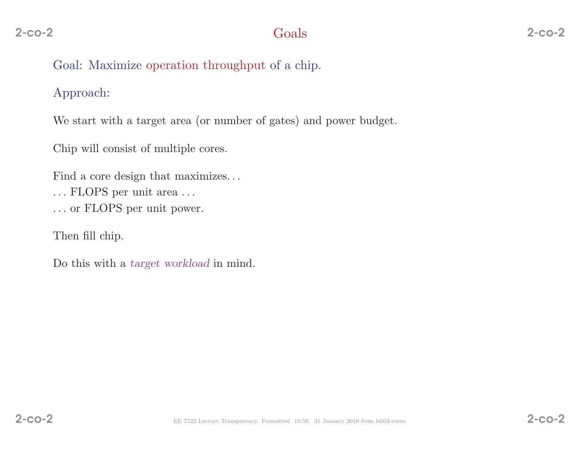# 2 Goals

# Goal: Maximize operation throughput of <sup>a</sup> chip.

# Approach:

We start with <sup>a</sup> target area (or number of gates) and power budget.

Chip will consist of multiple cores.

Find <sup>a</sup> core design that maximizes. . .  $\dots$  FLOPS per unit area  $\dots$ . . . or FLOPS per unit power.

Then fill chip.

Do this with a *target workload* in mind.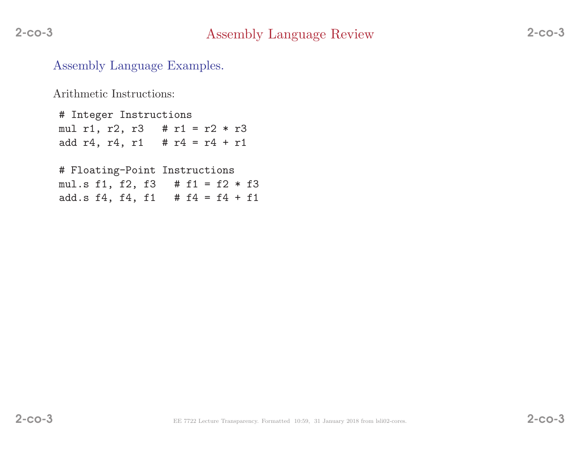Assembly Language Examples.

Arithmetic Instructions:

# Integer Instructions mul r1, r2, r3  $#$  r1 = r2  $*$  r3 add r4, r4, r1 #  $r4 = r4 + r1$ 

# Floating-Point Instructions mul.s f1, f2, f3 # f1 <sup>=</sup> f2 \* f3 add.s  $f4$ ,  $f4$ ,  $f1$  #  $f4 = f4 + f1$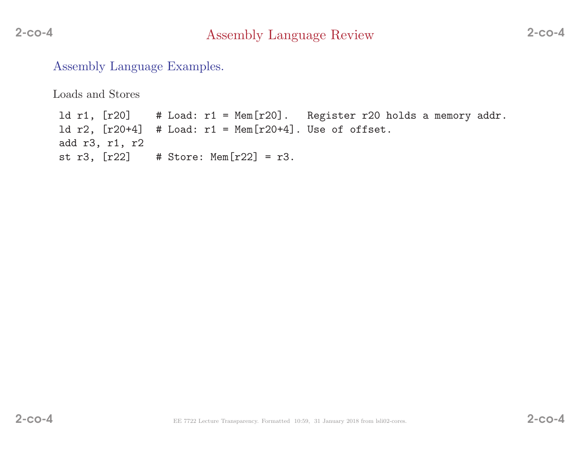Assembly Language Examples.

Loads and Stores

ld r1, [r20] # Load: r1 <sup>=</sup> Mem[r20]. Register r20 holds <sup>a</sup> memory addr. ld r2, [r20+4] # Load: r1 <sup>=</sup> Mem[r20+4]. Use of offset. add r3, r1, r2 st r3,  $[r22]$  # Store: Mem $[r22]$  = r3.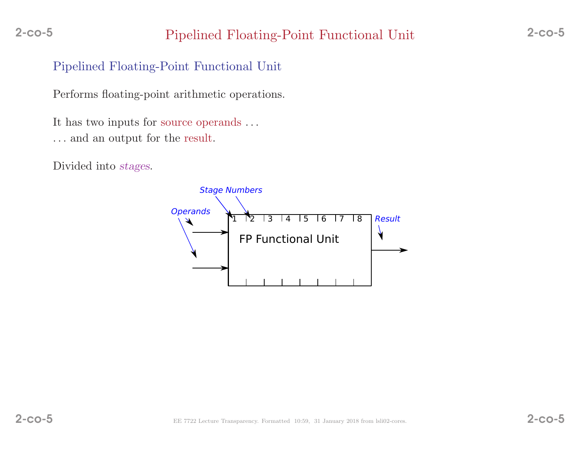# Pipelined Floating-Point Functional Unit

Performs floating-point arithmetic operations.

It has two inputs for source operands . . .  $\ldots$  and an output for the result.

Divided into stages.

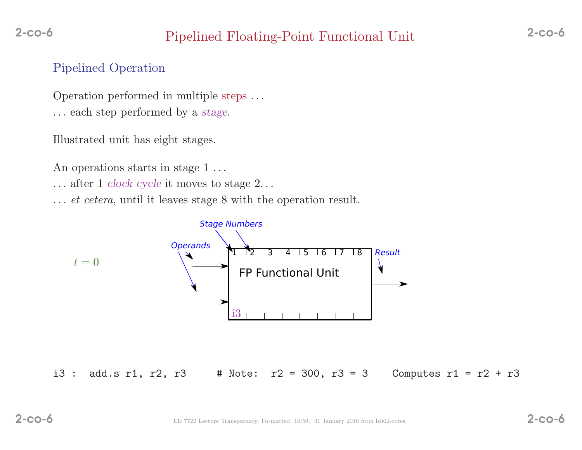# Pipelined Floating-Point Functional Unit 2-co-6

# Pipelined Operation

Operation performed in multiple steps . . . . . . each step performed by <sup>a</sup> stage.

Illustrated unit has eight stages.

An operations starts in stage 1...

. . . after <sup>1</sup> clock cycle it moves to stage <sup>2</sup>. . .

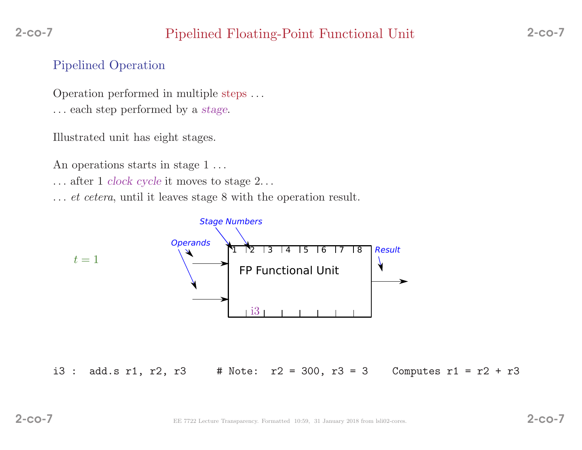# Pipelined Floating-Point Functional Unit 2-co-7

## Pipelined Operation

Operation performed in multiple steps . . . . . . each step performed by <sup>a</sup> stage.

Illustrated unit has eight stages.

An operations starts in stage 1...

. . . after <sup>1</sup> clock cycle it moves to stage <sup>2</sup>. . .

... *et cetera*, until it leaves stage 8 with the operation result.



i3 : add.s r1, r2, r3 # Note:  $r2 = 300$ ,  $r3 = 3$  Computes r1 =  $r2 + r3$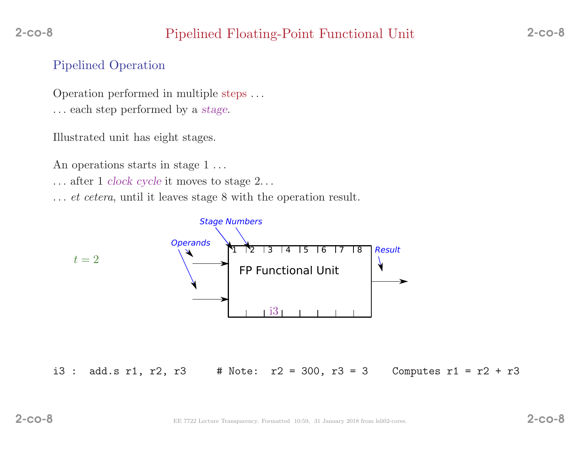# Pipelined Floating-Point Functional Unit 2-co-8

## Pipelined Operation

Operation performed in multiple steps . . . . . . each step performed by <sup>a</sup> stage.

Illustrated unit has eight stages.

An operations starts in stage 1...

. . . after <sup>1</sup> clock cycle it moves to stage <sup>2</sup>. . .

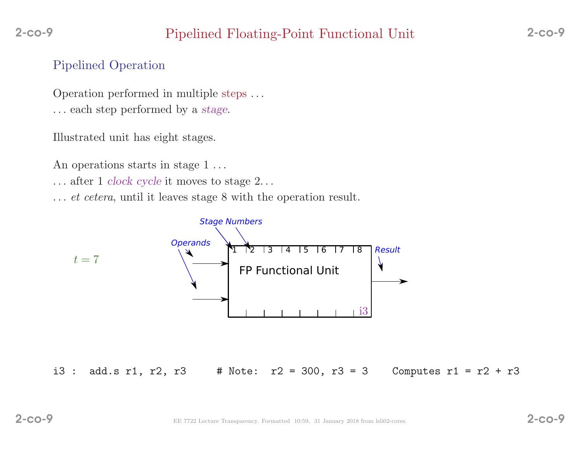# Pipelined Floating-Point Functional Unit 2-co-9

# Pipelined Operation

Operation performed in multiple steps . . . . . . each step performed by <sup>a</sup> stage.

Illustrated unit has eight stages.

An operations starts in stage 1...

. . . after <sup>1</sup> clock cycle it moves to stage <sup>2</sup>. . .

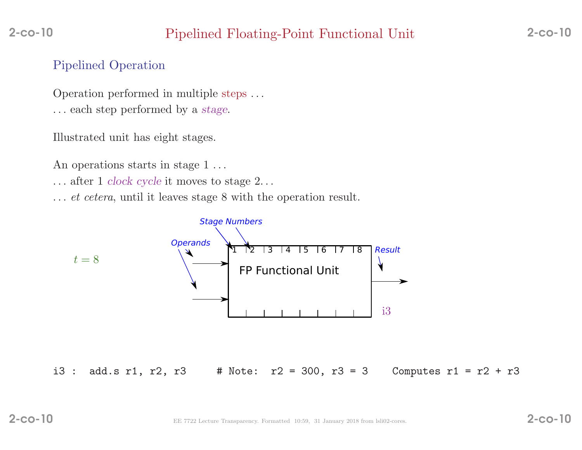# Pipelined Operation

Operation performed in multiple steps . . . . . . each step performed by <sup>a</sup> stage.

Illustrated unit has eight stages.

An operations starts in stage 1...

. . . after <sup>1</sup> clock cycle it moves to stage <sup>2</sup>. . .

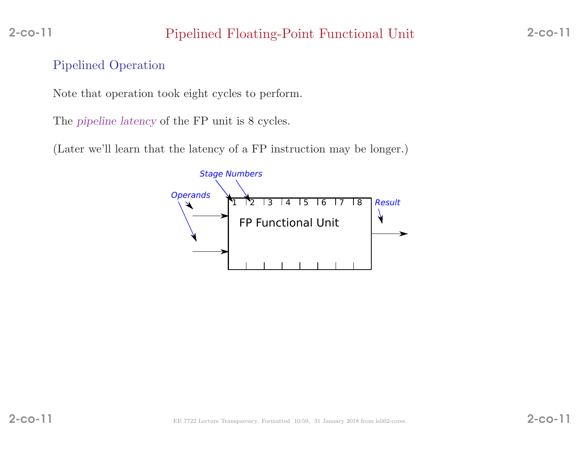# Pipelined Floating-Point Functional Unit 2-co-11

# Pipelined Operation

Note that operation took eight cycles to perform.

The *pipeline latency* of the FP unit is 8 cycles.

(Later we'll learn that the latency of <sup>a</sup> FP instruction may be longer.)

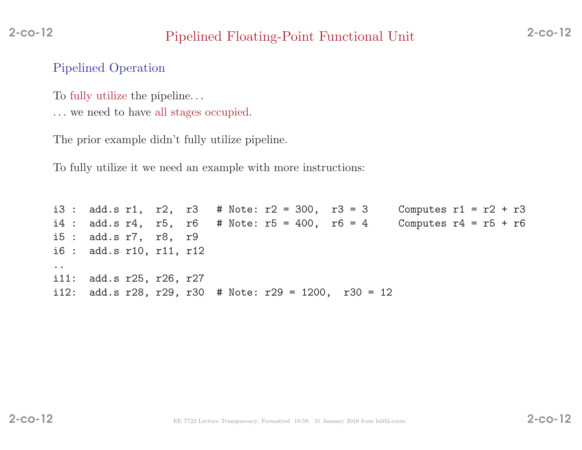# Pipelined Floating-Point Functional Unit 2-co-12

## Pipelined Operation

To fully utilize the <sup>p</sup>ipeline. . .

. . . we need to have all stages occupied.

The prior example didn't fully utilize <sup>p</sup>ipeline.

To fully utilize it we need an example with more instructions:

i3 : add.s r1, r2, r3 # Note:  $r2 = 300$ , r3 = 3 Computes r1 = r2 + r3 i4 : add.s  $r4$ ,  $r5$ ,  $r6$  # Note:  $r5 = 400$ ,  $r6 = 4$  Computes  $r4 = r5 + r6$ i5 : add.s r7, r8, r9 i6 : add.s r10, r11, r12 .. $i11:$ i11: add.s r25, r26, r27<br>i12: add.s r28, r29, r30 add.s r28, r29, r30 # Note: r29 = 1200, r30 = 12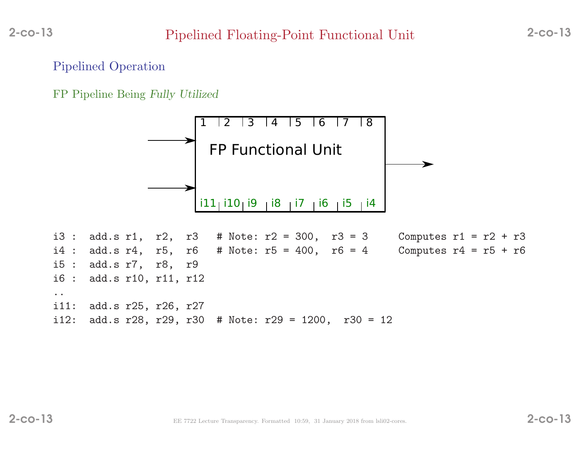### Pipelined Operation

FP Pipeline Being Fully Utilized

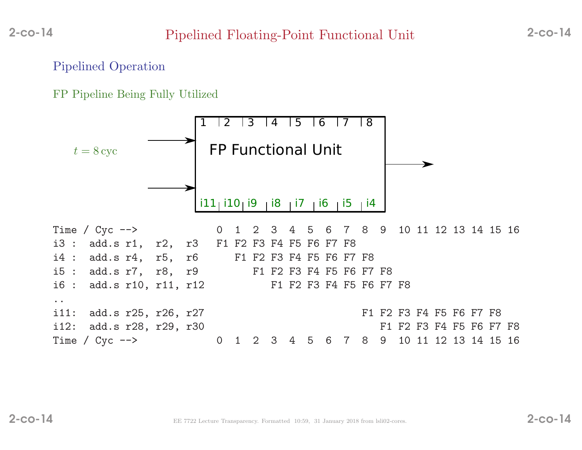### Pipelined Operation

FP Pipeline Being Fully Utilized

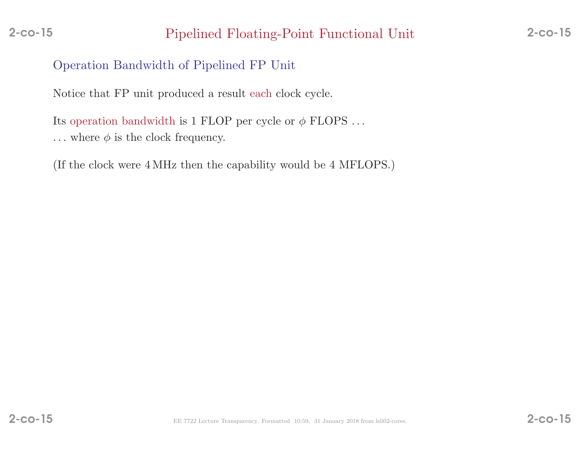# Pipelined Floating-Point Functional Unit 2-co-15

# Operation Bandwidth of Pipelined FP Unit

Notice that FP unit produced <sup>a</sup> result each clock cycle.

Its operation bandwidth is 1 FLOP per cycle or  $\phi$  FLOPS ...  $\dots$  where  $\phi$  is the clock frequency.

(If the clock were <sup>4</sup> MHz then the capability would be <sup>4</sup> MFLOPS.)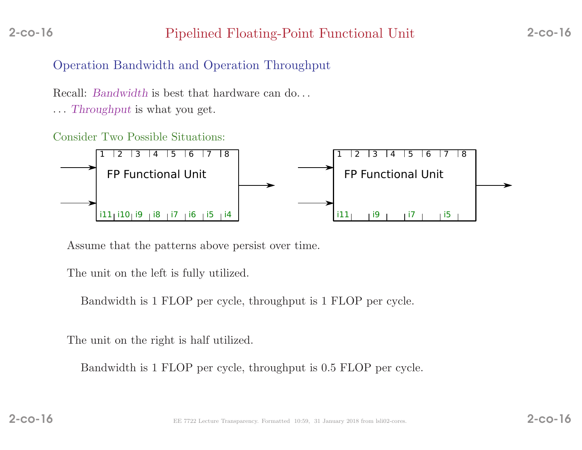# Pipelined Floating-Point Functional Unit 2-co-16

# Operation Bandwidth and Operation Throughput

Recall: *Bandwidth* is best that hardware can do...

... Throughput is what you get.

### Consider Two Possible Situations:



Assume that the patterns above persist over time.

The unit on the left is fully utilized.

Bandwidth is <sup>1</sup> FLOP per cycle, throughput is <sup>1</sup> FLOP per cycle.

The unit on the right is half utilized.

Bandwidth is <sup>1</sup> FLOP per cycle, throughput is 0.5 FLOP per cycle.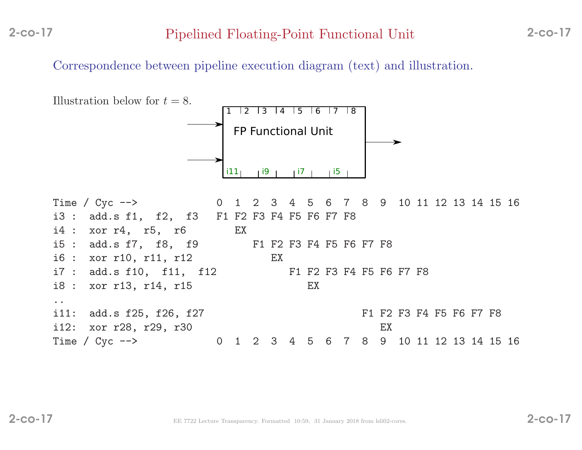Correspondence between <sup>p</sup>ipeline execution diagram (text) and illustration.

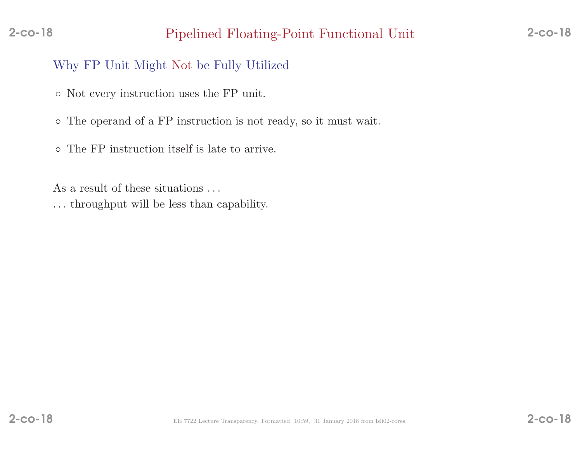# Pipelined Floating-Point Functional Unit 2-co-18

# Why FP Unit Might Not be Fully Utilized

- Not every instruction uses the FP unit.
- The operand of <sup>a</sup> FP instruction is not ready, so it must wait.
- The FP instruction itself is late to arrive.

As a result of these situations ...

. . . throughput will be less than capability.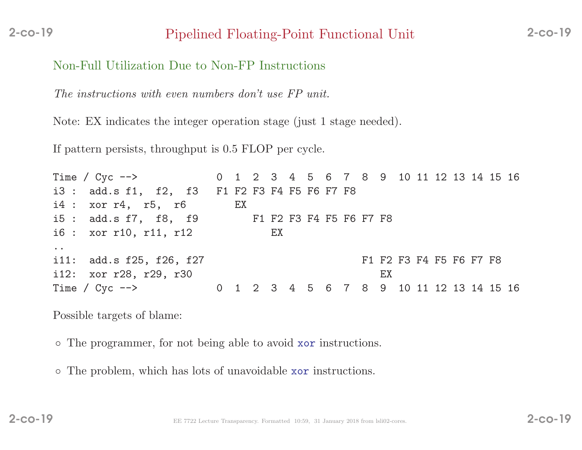Non-Full Utilization Due to Non-FP Instructions

The instructions with even numbers don't use FP unit.

Note: EX indicates the integer operation stage (just <sup>1</sup> stage needed).

If pattern persists, throughput is <sup>0</sup>.<sup>5</sup> FLOP per cycle.

Time / Cyc --> 0 1 2 3 4 5 6 7 8 9 10 11 12 13 14 15 16 i3 : add.s f1, f2, f3 F1 F2 F3 F4 F5 F6 F7 F8 i4 : xor r4, r5, r6 EX i5 : add.s f7, f8, f9<br>i6 : xor r10. r11. r12<br>EX<br>EX  $i6: xor r10, r11, r12$ ..i11: add.s f25, f26, f27 F1 F2 F3 F4 F5 F6 F7 F8 i12: xor r28, r29, r30 EX<br>Time / Cyc --> 0 1 2 3 4 5 6 7 8 9 0 1 2 3 4 5 6 7 8 9 10 11 12 13 14 15 16

Possible targets of blame:

◦ The programmer, for not being able to avoid xor instructions.

◦ The problem, which has lots of unavoidable xor instructions.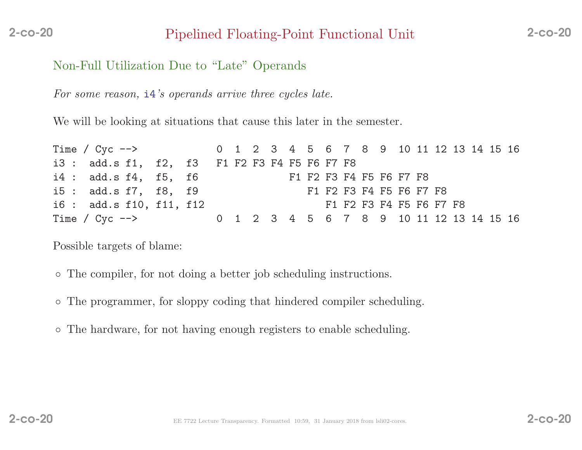# Pipelined Floating-Point Functional Unit 2-co-20

## Non-Full Utilization Due to "Late" Operands

For some reason,  $\mathbf{i}4$ 's operands arrive three cycles late.

We will be looking at situations that cause this later in the semester.

| Time / Cyc --> 0 1 2 3 4 5 6 7 8 9 10 11 12 13 14 15 16 |  |  |  |                         |                         |  |  |  |                         |  |  |
|---------------------------------------------------------|--|--|--|-------------------------|-------------------------|--|--|--|-------------------------|--|--|
| i3 : add.s f1, f2, f3 F1 F2 F3 F4 F5 F6 F7 F8           |  |  |  |                         |                         |  |  |  |                         |  |  |
| i4 : add.s f4, f5, f6                                   |  |  |  |                         | F1 F2 F3 F4 F5 F6 F7 F8 |  |  |  |                         |  |  |
| i5 : add.s f7, f8, f9                                   |  |  |  | F1 F2 F3 F4 F5 F6 F7 F8 |                         |  |  |  |                         |  |  |
| i6 : add.s f10, f11, f12                                |  |  |  |                         |                         |  |  |  | F1 F2 F3 F4 F5 F6 F7 F8 |  |  |
| Time / Cyc --> 0 1 2 3 4 5 6 7 8 9 10 11 12 13 14 15 16 |  |  |  |                         |                         |  |  |  |                         |  |  |

Possible targets of blame:

- The compiler, for not doing <sup>a</sup> better job scheduling instructions.
- The programmer, for sloppy coding that hindered compiler scheduling.
- The hardware, for not having enoug<sup>h</sup> registers to enable scheduling.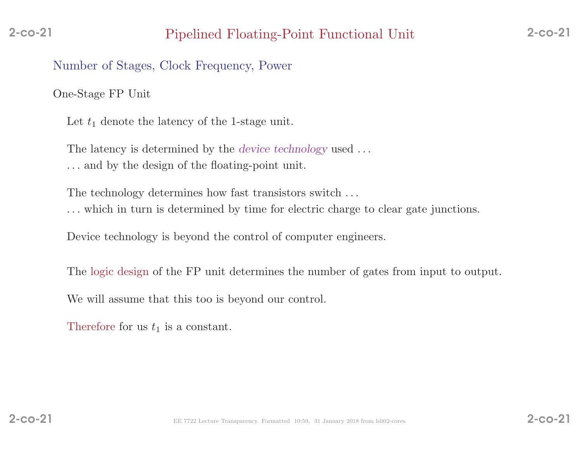Number of Stages, Clock Frequency, Power

One-Stage FP Unit

Let  $t_1$  denote the latency of the 1-stage unit.

The latency is determined by the *device technology* used ...

. . . and by the design of the floating-point unit.

The technology determines how fast transistors switch . . .

. . . which in turn is determined by time for electric charge to clear gate junctions.

Device technology is beyond the control of computer engineers.

The logic design of the FP unit determines the number of gates from input to output.

We will assume that this too is beyond our control.

Therefore for us  $t_1$  is a constant.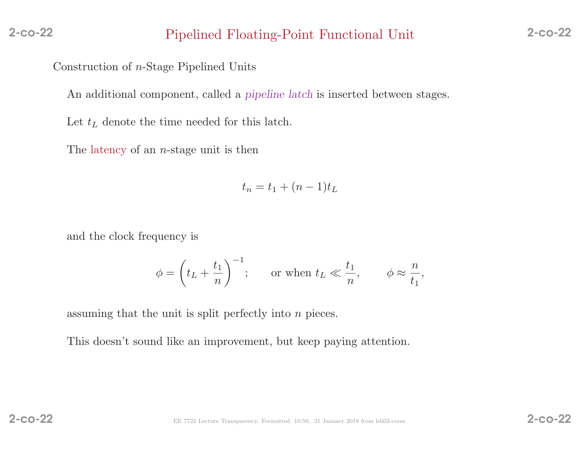Construction of <sup>n</sup>-Stage Pipelined Units

An additional component, called a *pipeline latch* is inserted between stages.

Let  $t_L$  denote the time needed for this latch.

The latency of an <sup>n</sup>-stage unit is then

$$
t_n = t_1 + (n-1)t_L
$$

and the clock frequency is

$$
\phi = \left(t_L + \frac{t_1}{n}\right)^{-1};
$$
 or when  $t_L \ll \frac{t_1}{n}, \phi \approx \frac{n}{t_1},$ 

assuming that the unit is split perfectly into  $n$  pieces.

This doesn't sound like an improvement, but keep paying attention.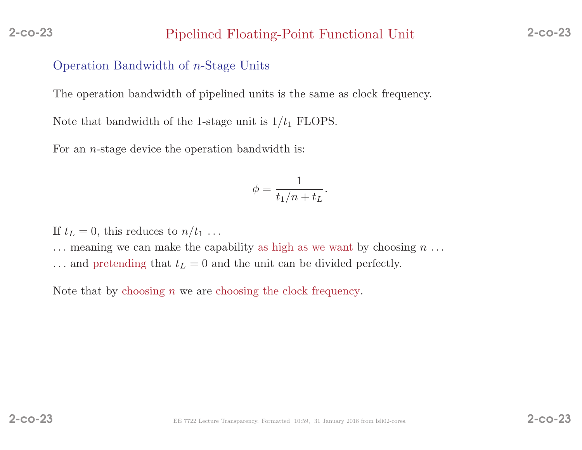### Pipelined Floating-Point Functional Unit 2-co-23

## Operation Bandwidth of <sup>n</sup>-Stage Units

The operation bandwidth of <sup>p</sup>ipelined units is the same as clock frequency.

Note that bandwidth of the 1-stage unit is  $1/t_1$  FLOPS.

For an *n*-stage device the operation bandwidth is:

$$
\phi = \frac{1}{t_1/n + t_L}.
$$

If  $t_L = 0$ , this reduces to  $n/t_1 \ldots$ 

 $\dots$  meaning we can make the capability as high as we want by choosing  $n \dots$ 

 $\dots$  and pretending that  $t_L = 0$  and the unit can be divided perfectly.

Note that by choosing  $n$  we are choosing the clock frequency.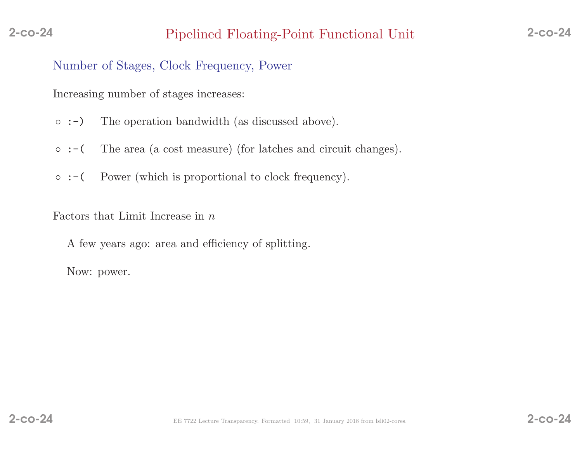Number of Stages, Clock Frequency, Power

Increasing number of stages increases:

- :-)The operation bandwidth (as discussed above).
- :-(The area (a cost measure) (for latches and circuit changes).
- :-(Power (which is proportional to clock frequency).

Factors that Limit Increase in  $n$ 

<sup>A</sup> few years ago: area and efficiency of splitting.

Now: power.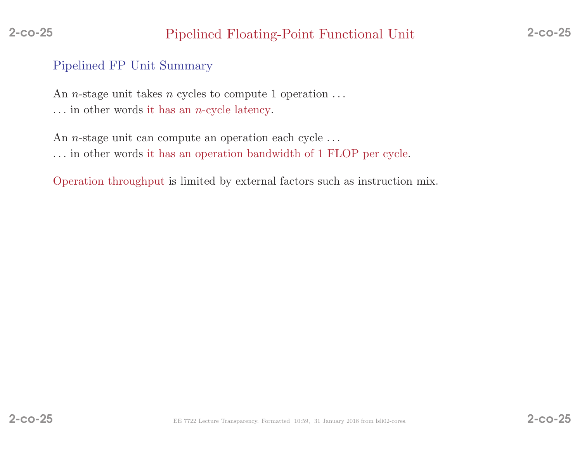# Pipelined FP Unit Summary

An *n*-stage unit takes *n* cycles to compute 1 operation  $\dots$  $\dots$  in other words it has an *n*-cycle latency.

An *n*-stage unit can compute an operation each cycle  $\dots$ . . . in other words it has an operation bandwidth of <sup>1</sup> FLOP per cycle.

Operation throughput is limited by external factors such as instruction mix.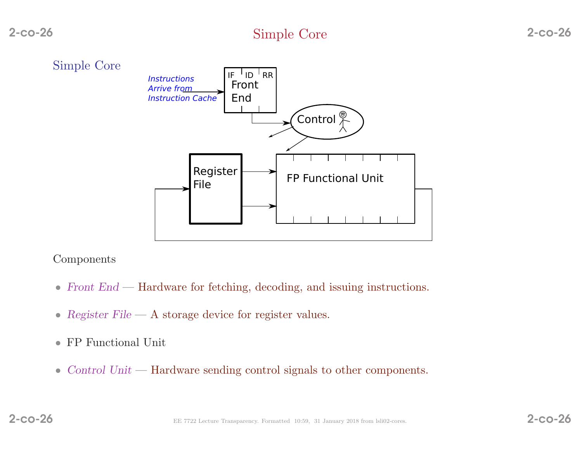

#### Components

- Front End Hardware for fetching, decoding, and issuing instructions.
- Register  $File A$  storage device for register values.
- FP Functional Unit
- Control Unit Hardware sending control signals to other components.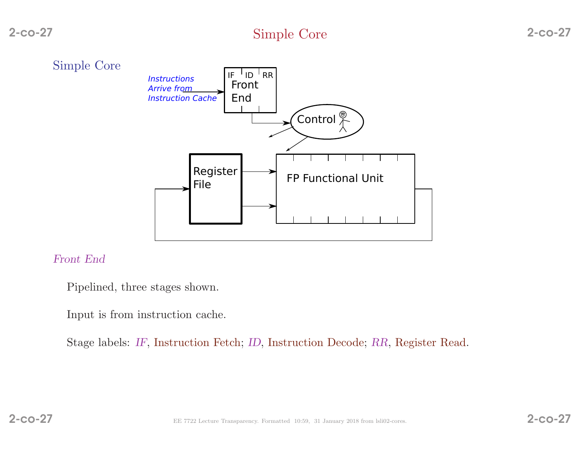

#### Front End

Pipelined, three stages shown.

Input is from instruction cache.

Stage labels: IF, Instruction Fetch; ID, Instruction Decode; RR, Register Read.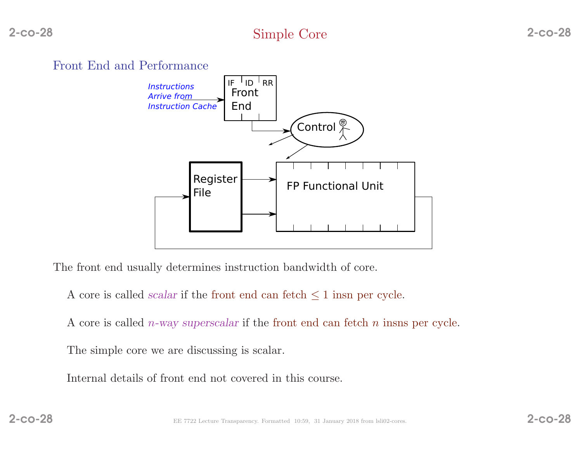

The front end usually determines instruction bandwidth of core.

A core is called *scalar* if the front end can fetch  $\leq 1$  insn per cycle.

A core is called *n*-way superscalar if the front end can fetch *n* insns per cycle.

The simple core we are discussing is scalar.

Internal details of front end not covered in this course.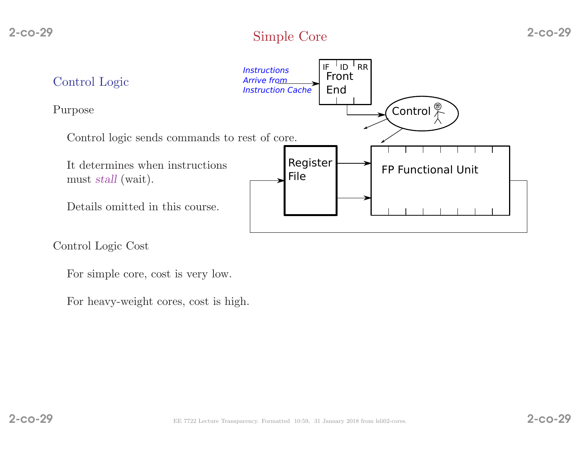

Control Logic Cost

For simple core, cost is very low.

For heavy-weight cores, cost is high.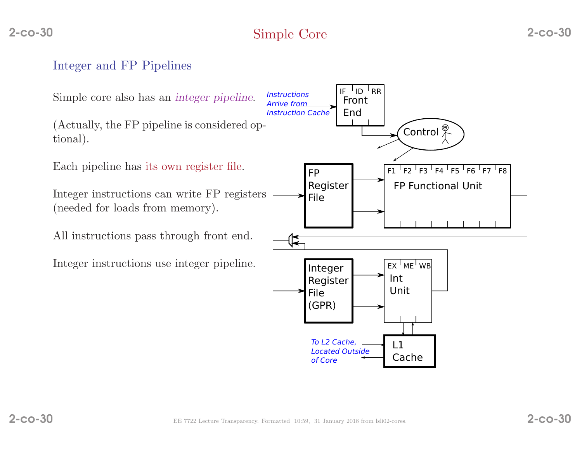# Integer and FP Pipelines

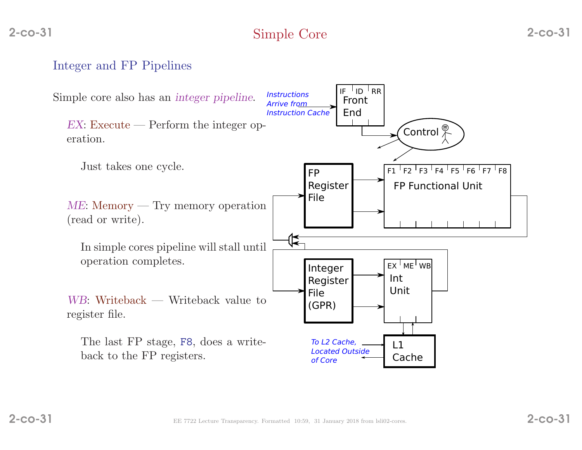# Integer and FP Pipelines

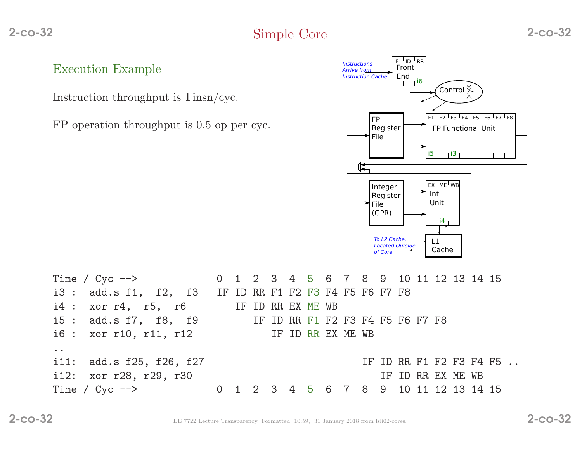Execution Example

Instruction throughput is <sup>1</sup> insn/cyc.

FP operation throughput is 0.5 op per cyc.



|                     | Time / Cyc --> 0 1 2 3 4 5 6 7 8 9 10 11 12 13 14 15   |  |  |  |  |  |                   |  |  |                         |  |
|---------------------|--------------------------------------------------------|--|--|--|--|--|-------------------|--|--|-------------------------|--|
|                     | i3 : add.s f1, f2, f3 IF ID RR F1 F2 F3 F4 F5 F6 F7 F8 |  |  |  |  |  |                   |  |  |                         |  |
|                     | $i4: xor r4, r5, r6$ IF ID RR EX ME WB                 |  |  |  |  |  |                   |  |  |                         |  |
|                     | i5 : add.s f7, f8, f9 IF ID RR F1 F2 F3 F4 F5 F6 F7 F8 |  |  |  |  |  |                   |  |  |                         |  |
|                     | i6 : xor r10, r11, r12 IF ID RR EX ME WB               |  |  |  |  |  |                   |  |  |                         |  |
| $\bullet$ $\bullet$ |                                                        |  |  |  |  |  |                   |  |  |                         |  |
|                     | i11: add.s f25, f26, f27                               |  |  |  |  |  |                   |  |  | IF ID RR F1 F2 F3 F4 F5 |  |
|                     | i12: xor r28, r29, r30                                 |  |  |  |  |  | IF ID RR EX ME WB |  |  |                         |  |
|                     | Time / Cyc --> 0 1 2 3 4 5 6 7 8 9 10 11 12 13 14 15   |  |  |  |  |  |                   |  |  |                         |  |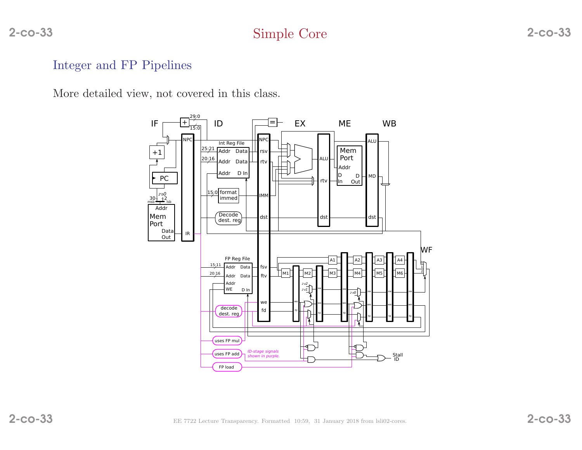# Simple Core 2-co-33

## Integer and FP Pipelines

More detailed view, not covered in this class.

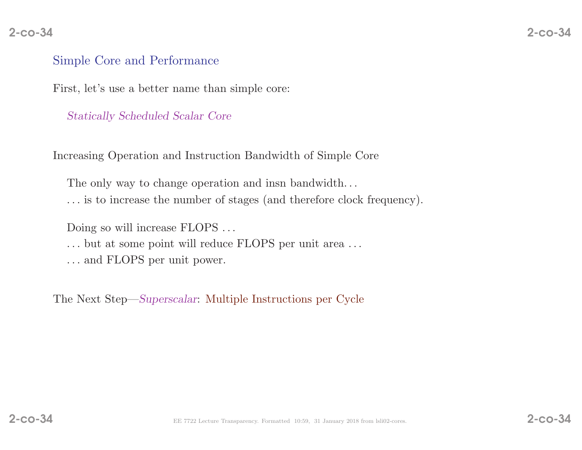### Simple Core and Performance

First, let's use <sup>a</sup> better name than simple core:

Statically Scheduled Scalar Core

Increasing Operation and Instruction Bandwidth of Simple Core

The only way to change operation and insn bandwidth...

. . . is to increase the number of stages (and therefore clock frequency).

Doing so will increase FLOPS ...

- ... but at some point will reduce FLOPS per unit area ...
- . . . and FLOPS per unit power.

The Next Step—Superscalar: Multiple Instructions per Cycle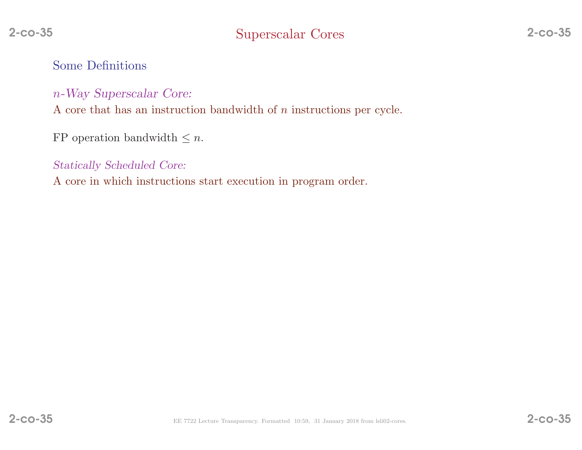Some Definitions

<sup>n</sup>-Way Superscalar Core:

A core that has an instruction bandwidth of *n* instructions per cycle.

FP operation bandwidth  $\leq n$ .

Statically Scheduled Core:

<sup>A</sup> core in which instructions start execution in program order.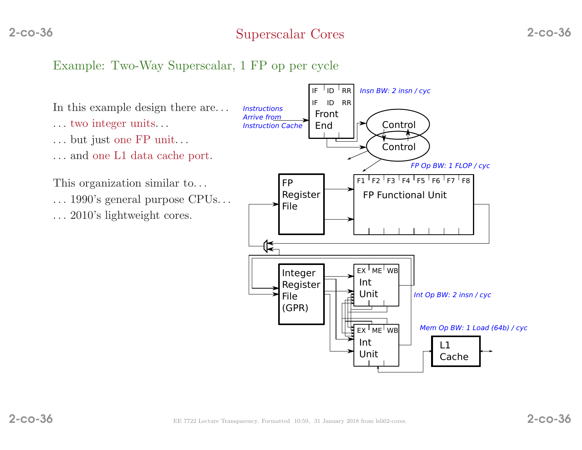# Example: Two-Way Superscalar, <sup>1</sup> FP op per cycle



- . . . two integer units. . .
- . . . but just one FP unit. . .
- . . . and one L1 data cache port.

This organization similar to. . .

- . . . 1990's genera<sup>l</sup> purpose CPUs. . .
- . . . 2010's lightweight cores.



2-co-36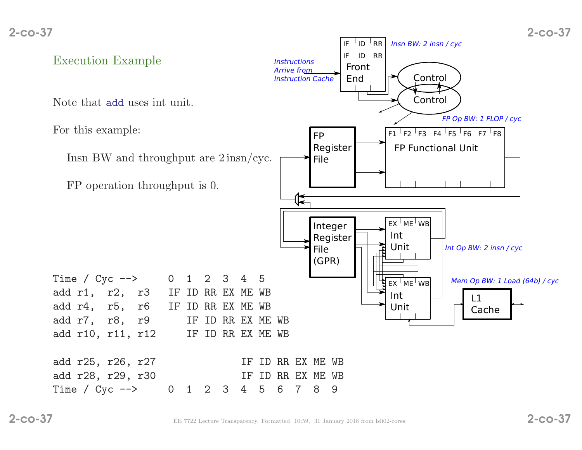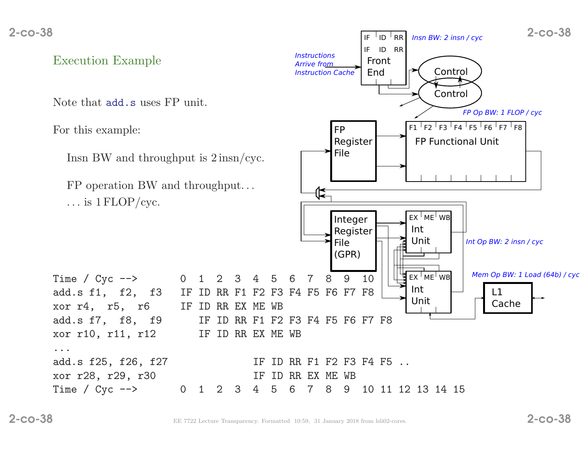2-co-38 $\frac{1}{2}$   $\frac{1}{2}$   $\frac{1}{2}$   $\frac{1}{2}$   $\frac{1}{2}$   $\frac{1}{2}$   $\frac{1}{2}$   $\frac{1}{2}$   $\frac{1}{2}$   $\frac{1}{2}$   $\frac{1}{2}$   $\frac{1}{2}$   $\frac{1}{2}$   $\frac{1}{2}$   $\frac{1}{2}$   $\frac{1}{2}$   $\frac{1}{2}$   $\frac{1}{2}$   $\frac{1}{2}$   $\frac{1}{2}$   $\frac{1}{2}$   $\frac{1}{2}$ 

For this example:

Insn BW and throughput is <sup>2</sup> insn/cyc.

FP operation BW and throughput. . .  $\ldots$  is  $1 \text{FLOP}/\text{cyc}.$ 



 $IF$  $ID$  $RR$ 

Insn BW: 2 insn / cyc

...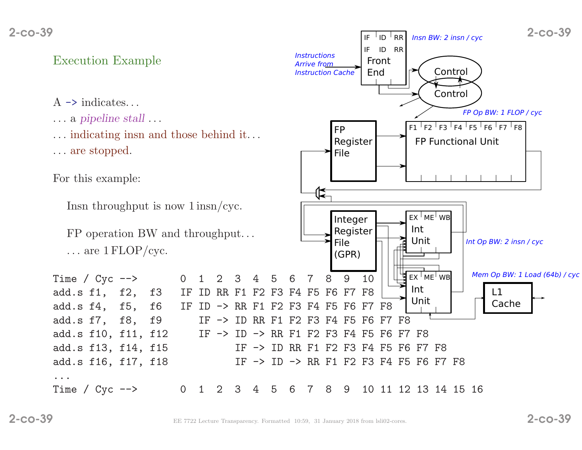- $A \rightarrow$  indicates...
- . . . <sup>a</sup> <sup>p</sup>ipeline stall . . .
- . . . indicating insn and those behind it. . .

. . . are stopped.

For this example:

Insn throughput is now <sup>1</sup> insn/cyc.

FP operation BW and throughput. . .  $\ldots$  are  $1$  FLOP/cyc.



 $IF$  $ID$  $RR$ 

Insn BW: 2 insn / cyc

...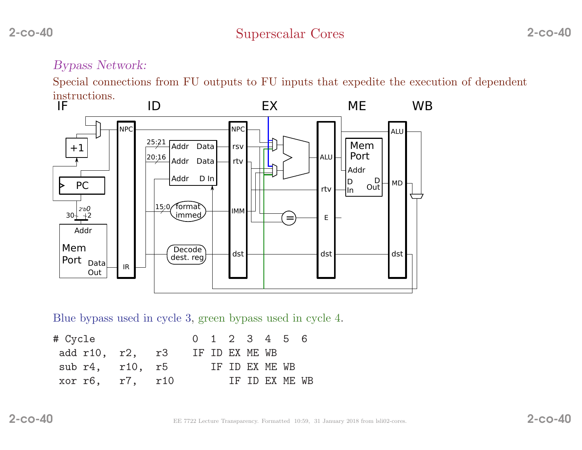## Bypass Network:

Special connections from FU outputs to FU inputs that expedite the execution of dependent instructions.<br> **IF** 



Blue bypass used in cycle 3, green bypass used in cycle 4.

| # Cycle |                         | 0 1 2 3 4 5 6  |  |                |                |  |
|---------|-------------------------|----------------|--|----------------|----------------|--|
|         | add r10, r2, r3         | IF ID EX ME WB |  |                |                |  |
|         | sub $r4$ , $r10$ , $r5$ |                |  | IF ID EX ME WB |                |  |
|         | xor r6, r7, r10         |                |  |                | IF ID EX ME WB |  |
|         |                         |                |  |                |                |  |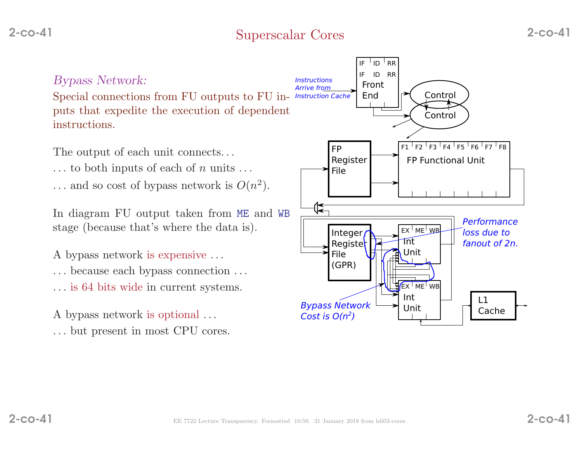

 $\rm Special$  connections from  $\rm FU$  outputs to  $\rm FU$  in- Instruction Cache puts that expedite the execution of dependent instructions.

The output of each unit connects...

- $\dots$  to both inputs of each of *n* units  $\dots$
- ... and so cost of bypass network is  $O(n^2)$ .

In diagram FU output taken from ME and WB<br>stage (heavyes that's where the data is) stage (because that's where the data is).

- <sup>A</sup> bypass network is expensive . . .
- . . . because each bypass connection . . .
- . . . is <sup>64</sup> bits wide in current systems.
- A bypass network is optional ...
- . . . but present in most CPU cores.

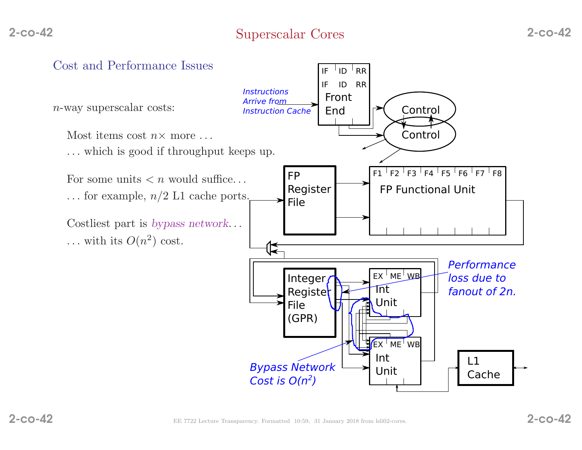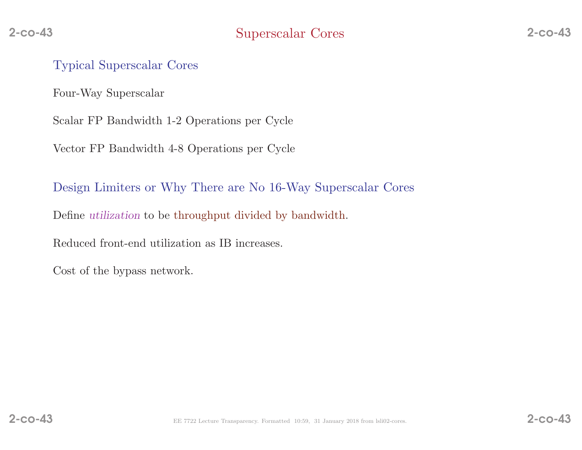#### Typical Superscalar Cores

Four-Way Superscalar

Scalar FP Bandwidth 1-2 Operations per Cycle

Vector FP Bandwidth 4-8 Operations per Cycle

Design Limiters or Why There are No 16-Way Superscalar Cores

Define utilization to be throughput divided by bandwidth.

Reduced front-end utilization as IB increases.

Cost of the bypass network.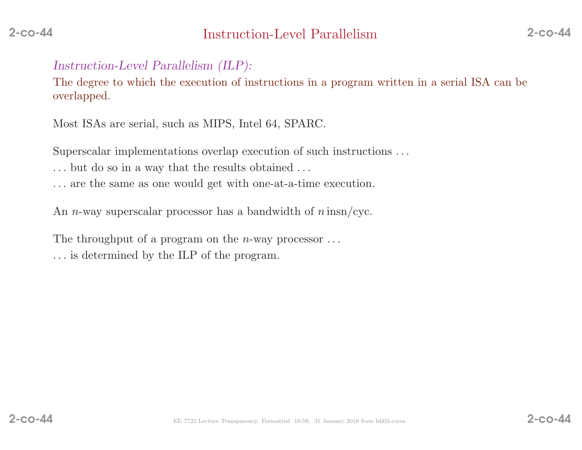## Instruction-Level Parallelism (ILP):

The degree to which the execution of instructions in <sup>a</sup> program written in <sup>a</sup> serial ISA can be overlapped.

Most ISAs are serial, such as MIPS, Intel 64, SPARC.

Superscalar implementations overlap execution of such instructions . . .

- . . . but do so in <sup>a</sup> way that the results obtained . . .
- . . . are the same as one would get with one-at-a-time execution.

An *n*-way superscalar processor has a bandwidth of  $n \text{ insn/cyc}$ .

The throughput of a program on the *n*-way processor  $\dots$ 

. . . is determined by the ILP of the program.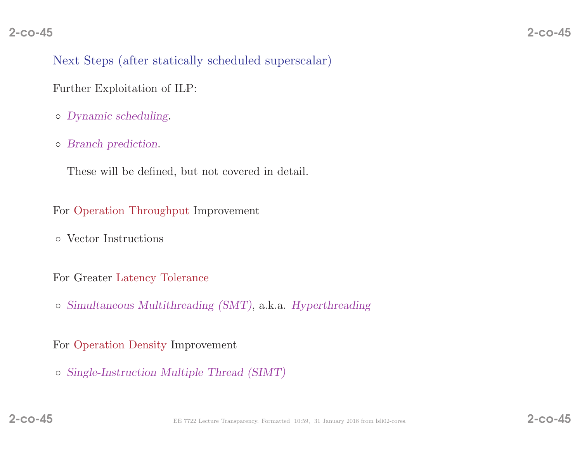## Next Steps (after statically scheduled superscalar)

Further Exploitation of ILP:

- Dynamic scheduling.
- Branch prediction.

These will be defined, but not covered in detail.

For Operation Throughput Improvement

◦ Vector Instructions

For Greater Latency Tolerance

◦ Simultaneous Multithreading (SMT), a.k.a. Hyperthreading

For Operation Density Improvement

◦ Single-Instruction Multiple Thread (SIMT)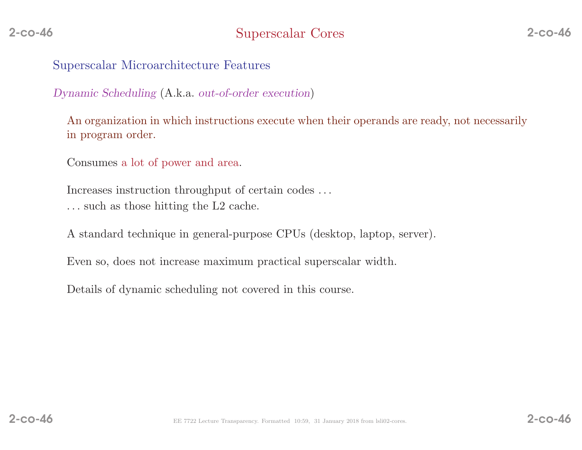Superscalar Microarchitecture Features

Dynamic Scheduling (A.k.a. out-of-order execution)

An organization in which instructions execute when their operands are ready, not necessarilyin program order.

Consumes <sup>a</sup> lot of power and area.

Increases instruction throughput of certain codes . . . . . . such as those hitting the L2 cache.

<sup>A</sup> standard technique in general-purpose CPUs (desktop, laptop, server).

Even so, does not increase maximum practical superscalar width.

Details of dynamic scheduling not covered in this course.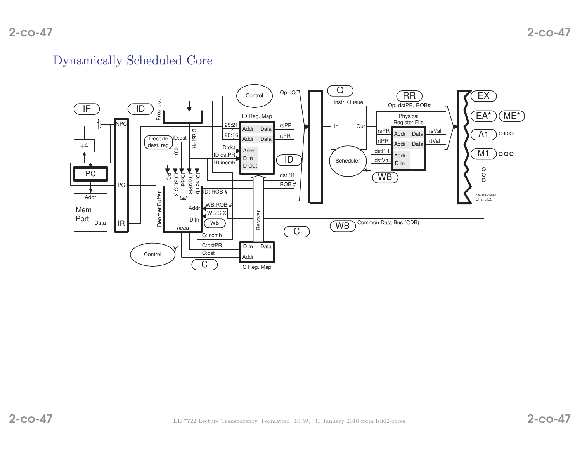#### Dynamically Scheduled Core

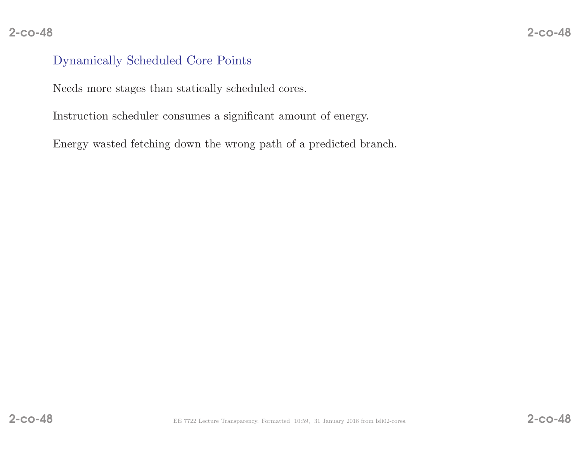# $8 - 2 - \cos^{-1}\theta$

## Dynamically Scheduled Core Points

Needs more stages than statically scheduled cores.

Instruction scheduler consumes <sup>a</sup> significant amount of energy.

Energy wasted fetching down the wrong path of <sup>a</sup> predicted branch.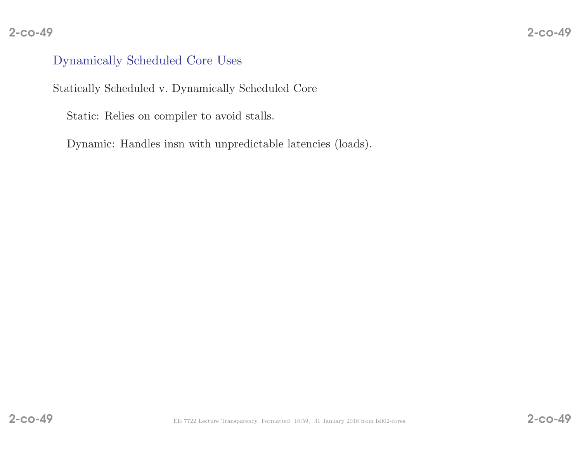## Dynamically Scheduled Core Uses

Statically Scheduled v. Dynamically Scheduled Core

Static: Relies on compiler to avoid stalls.

Dynamic: Handles insn with unpredictable latencies (loads).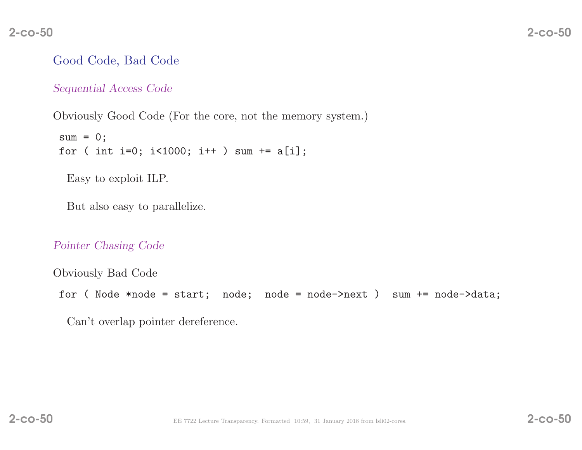## Good Code, Bad Code

Sequential Access Code

Obviously Good Code (For the core, not the memory system.)

```
sum = 0;
for ( int i=0; i<1000; i++ ) sum += a[i];
```
Easy to exploit ILP.

But also easy to parallelize.

#### Pointer Chasing Code

Obviously Bad Code for ( Node  $*node = start; node; node = node->next$  ) sum  $+= node->data;$ 

Can't overlap pointer dereference.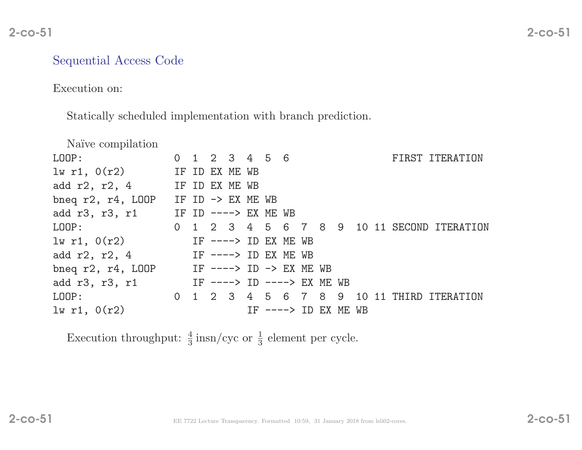# $\sim$  2-co-51

## Sequential Access Code

#### Execution on:

Statically scheduled implementation with branch prediction.

| Naïve compilation       |                |  |                              |     |  |                |                     |       |  |                                            |
|-------------------------|----------------|--|------------------------------|-----|--|----------------|---------------------|-------|--|--------------------------------------------|
| LOOP:                   |                |  | 0 1 2 3 4 5 6                |     |  |                |                     |       |  | FIRST ITERATION                            |
| $lw$ r1, $0(r2)$        |                |  | IF ID EX ME WB               |     |  |                |                     |       |  |                                            |
| add $r2, r2, 4$         | IF ID EX ME WB |  |                              |     |  |                |                     |       |  |                                            |
| bneq $r2$ , $r4$ , LOOP |                |  | IF ID $\rightarrow$ EX ME WB |     |  |                |                     |       |  |                                            |
| add r3, r3, r1          |                |  | IF ID $---> EX ME WB$        |     |  |                |                     |       |  |                                            |
| LOOP:                   |                |  |                              |     |  |                |                     |       |  | 0 1 2 3 4 5 6 7 8 9 10 11 SECOND ITERATION |
| $lw$ r1, $0(r2)$        |                |  | IF $--->$ ID EX ME WB        |     |  |                |                     |       |  |                                            |
| add r2, r2, 4           |                |  | IF ----> ID EX ME WB         |     |  |                |                     |       |  |                                            |
| bneq $r2$ , $r4$ , LOOP |                |  | IF ----> ID -> EX ME WB      |     |  |                |                     |       |  |                                            |
| add r3, r3, r1          |                |  | IF $--->$ ID $--->$ EX ME WB |     |  |                |                     |       |  |                                            |
| LOOP:                   |                |  |                              |     |  |                | 0 1 2 3 4 5 6 7 8 9 | 10 11 |  | THIRD ITERATION                            |
| $lw$ r1, $0(r2)$        |                |  |                              | TF. |  | ----> ID EX ME |                     | WB    |  |                                            |
|                         |                |  |                              |     |  |                |                     |       |  |                                            |

Execution throughput:  $\frac{4}{3}$  insn/cyc or  $\frac{1}{3}$  element per cycle.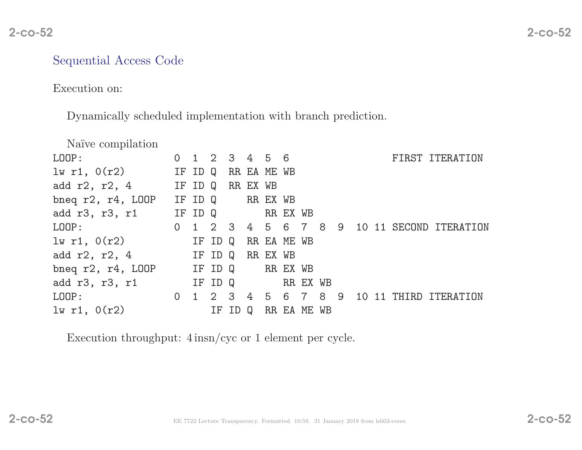#### Sequential Access Code

Execution on:

Dynamically scheduled implementation with branch prediction.

| Naïve compilation       |                |                                        |         |    |             |             |                   |    |                   |    |     |                        |
|-------------------------|----------------|----------------------------------------|---------|----|-------------|-------------|-------------------|----|-------------------|----|-----|------------------------|
| LOOP:                   | $\overline{O}$ | $1\quad 2\quad 3\quad 4\quad 5\quad 6$ |         |    |             |             |                   |    |                   |    |     | FIRST ITERATION        |
| $lw$ r1, $0(r2)$        |                | IF ID                                  | Q       |    | RR EA ME WB |             |                   |    |                   |    |     |                        |
| add $r2$ , $r2$ , 4     |                | IF ID Q                                |         |    | RR EX WB    |             |                   |    |                   |    |     |                        |
| bneq $r2$ , $r4$ , LOOP |                | IF ID Q                                |         |    | RR EX WB    |             |                   |    |                   |    |     |                        |
| add r3, r3, r1          |                | IF ID Q                                |         |    |             | RR EX WB    |                   |    |                   |    |     |                        |
| LOOP:                   | $\Omega$       |                                        |         |    |             |             |                   |    | 1 2 3 4 5 6 7 8 9 |    |     | 10 11 SECOND ITERATION |
| $lw$ r1, $0(r2)$        |                |                                        | IF ID Q |    |             | RR EA ME WB |                   |    |                   |    |     |                        |
| add $r2$ , $r2$ , 4     |                |                                        | IF ID Q |    | RR EX WB    |             |                   |    |                   |    |     |                        |
| bneq $r2$ , $r4$ , LOOP |                |                                        | IF ID Q |    |             | RR EX WB    |                   |    |                   |    |     |                        |
| add r3, r3, r1          |                |                                        | IF ID Q |    |             |             | RR EX WB          |    |                   |    |     |                        |
| LOOP:                   | $\overline{0}$ |                                        |         |    |             |             | 1 2 3 4 5 6 7 8 9 |    |                   | 10 | -11 | THIRD ITERATION        |
| $lw$ r1, $0(r2)$        |                |                                        | ΙF      | ID | Q           |             | RR EA ME          | WB |                   |    |     |                        |
|                         |                |                                        |         |    |             |             |                   |    |                   |    |     |                        |

Execution throughput: <sup>4</sup> insn/cyc or <sup>1</sup> element per cycle.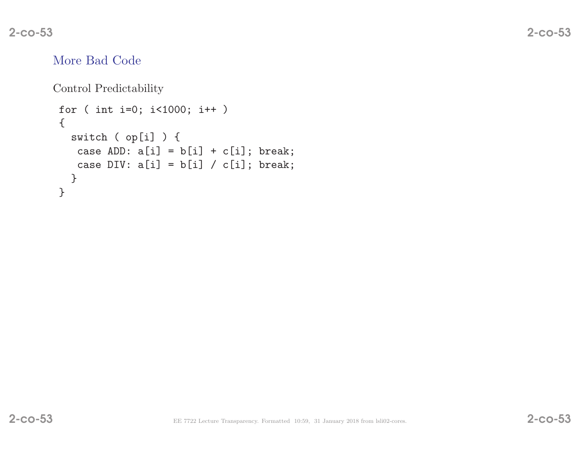## More Bad Code

Control Predictability

```
for ( int i=0; i<1000; i++ )
{switch ( op[i] ) {
  case ADD: a[i] = b[i] + c[i]; break;
  case DIV: a[i] = b[i] / c[i]; break;
 }}
```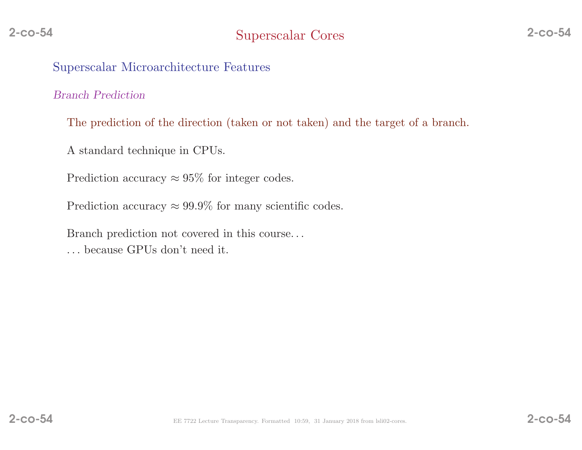#### Superscalar Microarchitecture Features

#### Branch Prediction

The prediction of the direction (taken or not taken) and the target of <sup>a</sup> branch.

<sup>A</sup> standard technique in CPUs.

Prediction accuracy  $\approx 95\%$  for integer codes.

Prediction accuracy  $\approx 99.9\%$  for many scientific codes.

Branch prediction not covered in this course. . .

. . . because GPUs don't need it.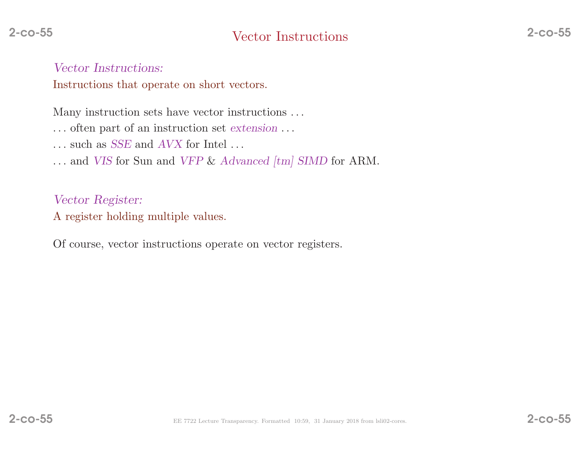Vector Instructions:

Instructions that operate on short vectors.

Many instruction sets have vector instructions . . .

. . . often part of an instruction set extension . . .

 $\dots$  such as *SSE* and *AVX* for Intel  $\dots$ 

... and *VIS* for Sun and *VFP & Advanced [tm] SIMD* for ARM.

Vector Register: <sup>A</sup> register holding multiple values.

Of course, vector instructions operate on vector registers.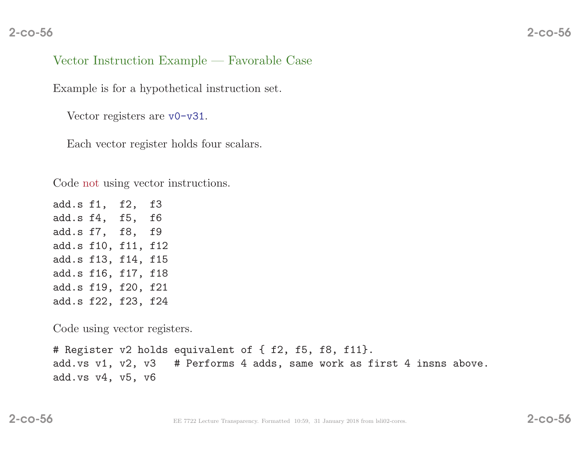#### 2-co-56

## Vector Instruction Example — Favorable Case

Example is for <sup>a</sup> hypothetical instruction set.

Vector registers are v0-v31.

Each vector register holds four scalars.

Code not using vector instructions.

add.s f1, f2, f3 add.s f4, f5, f6 add.s f7, f8, f9 add.s f10, f11, f12 add.s f13, f14, f15 add.s f16, f17, f18 add.s f19, f20, f21 add.s f22, f23, f24

Code using vector registers.

# Register v2 holds equivalent of { f2, f5, f8, f11}. add.vs v1, v2, v3 # Performs <sup>4</sup> adds, same work as first <sup>4</sup> insns above. add.vs v4, v5, v6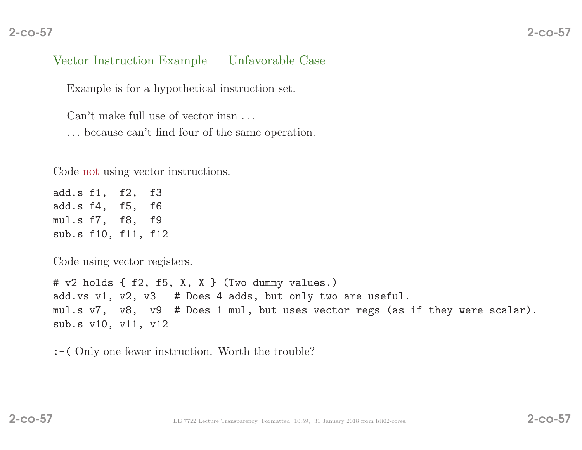#### 2-co-57

## Vector Instruction Example — Unfavorable Case

Example is for <sup>a</sup> hypothetical instruction set.

Can't make full use of vector insn ...

. . . because can't find four of the same operation.

Code not using vector instructions.

add.s f1, f2, f3 add.s f4, f5, f6 mul.s f7, f8, f9 sub.s f10, f11, f12

Code using vector registers.

# v2 holds { f2, f5, X, <sup>X</sup> } (Two dummy values.) add.vs v1, v2, v3 # Does <sup>4</sup> adds, but only two are useful. mul.s v7, v8, v9 # Does <sup>1</sup> mul, but uses vector regs (as if they were scalar). sub.s v10, v11, v12

:-( Only one fewer instruction. Worth the trouble?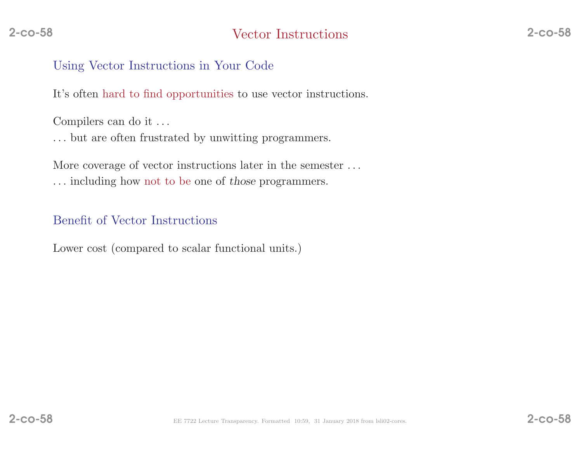#### Using Vector Instructions in Your Code

It's often hard to find opportunities to use vector instructions.

Compilers can do it . . .

. . . but are often frustrated by unwitting programmers.

More coverage of vector instructions later in the semester . . . . . . including how not to be one of those programmers.

## Benefit of Vector Instructions

Lower cost (compared to scalar functional units.)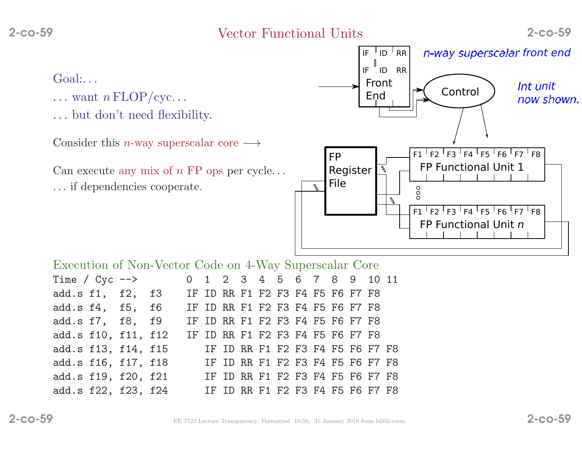Vector Functional Units 2-co-59

- $\ldots$  want  $n \text{ FLOP}/\text{cyc} \ldots$
- . . . but don't need flexibility.

Consider this *n*-way superscalar core  $\longrightarrow$ 

Can execute any mix of  $n$  FP ops per cycle...

. . . if dependencies cooperate.



|                                                      | Execution of Non-Vector Code on 4-Way Superscalar Core |  |  |  |  |  |  |                                  |  |  |  |  |  |                                  |  |
|------------------------------------------------------|--------------------------------------------------------|--|--|--|--|--|--|----------------------------------|--|--|--|--|--|----------------------------------|--|
| Time / $Cyc$ -->                                     |                                                        |  |  |  |  |  |  |                                  |  |  |  |  |  | 0 1 2 3 4 5 6 7 8 9 10 11        |  |
| add.s f1, f2, f3                                     |                                                        |  |  |  |  |  |  | IF ID RR F1 F2 F3 F4 F5 F6 F7 F8 |  |  |  |  |  |                                  |  |
| add.s f4, f5, f6 IF ID RR F1 F2 F3 F4 F5 F6 F7 F8    |                                                        |  |  |  |  |  |  |                                  |  |  |  |  |  |                                  |  |
| add.s f7, f8, f9                                     |                                                        |  |  |  |  |  |  | IF ID RR F1 F2 F3 F4 F5 F6 F7 F8 |  |  |  |  |  |                                  |  |
| add.s f10, f11, f12                                  |                                                        |  |  |  |  |  |  | IF ID RR F1 F2 F3 F4 F5 F6 F7 F8 |  |  |  |  |  |                                  |  |
| add.s f13, f14, f15                                  |                                                        |  |  |  |  |  |  |                                  |  |  |  |  |  | IF ID RR F1 F2 F3 F4 F5 F6 F7 F8 |  |
| add.s f16, f17, f18                                  |                                                        |  |  |  |  |  |  |                                  |  |  |  |  |  | IF ID RR F1 F2 F3 F4 F5 F6 F7 F8 |  |
| add.s f19, f20, f21 IF ID RR F1 F2 F3 F4 F5 F6 F7 F8 |                                                        |  |  |  |  |  |  |                                  |  |  |  |  |  |                                  |  |
| add.s f22, f23, f24                                  |                                                        |  |  |  |  |  |  |                                  |  |  |  |  |  | IF ID RR F1 F2 F3 F4 F5 F6 F7 F8 |  |
|                                                      |                                                        |  |  |  |  |  |  |                                  |  |  |  |  |  |                                  |  |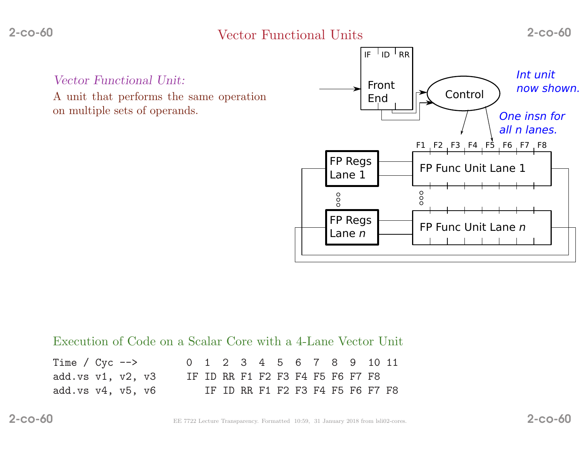Vector Functional Units 2-co-60

Vector Functional Unit:

<sup>A</sup> unit that performs the same operationon multiple sets of operands.



#### Execution of Code on <sup>a</sup> Scalar Core with <sup>a</sup> 4-Lane Vector Unit

| Time / $Cyc$ -->          |  |  |  |  |  |  |                                  | 0 1 2 3 4 5 6 7 8 9 10 11 |
|---------------------------|--|--|--|--|--|--|----------------------------------|---------------------------|
| add.vs $v1, v2, v3$       |  |  |  |  |  |  | IF ID RR F1 F2 F3 F4 F5 F6 F7 F8 |                           |
| add.vs $v4$ , $v5$ , $v6$ |  |  |  |  |  |  | IF ID RR F1 F2 F3 F4 F5 F6 F7 F8 |                           |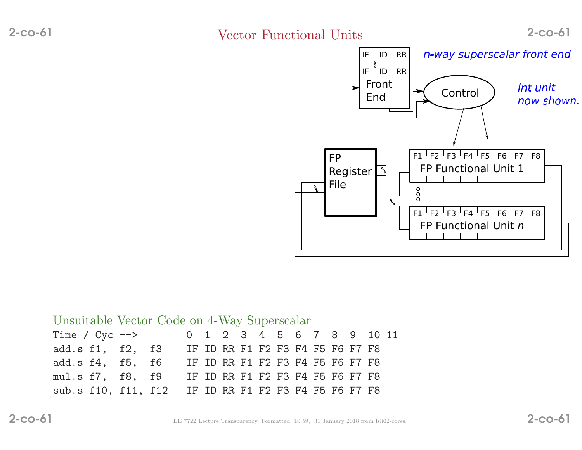## Vector Functional Units 2-co-61



| Unsuitable Vector Code on 4-Way Superscalar |  |  |                                                      |  |  |  |  |                                  |  |  |  |  |  |                           |  |
|---------------------------------------------|--|--|------------------------------------------------------|--|--|--|--|----------------------------------|--|--|--|--|--|---------------------------|--|
|                                             |  |  | Time / $Cyc$ -->                                     |  |  |  |  |                                  |  |  |  |  |  | 0 1 2 3 4 5 6 7 8 9 10 11 |  |
| add.s f1, f2, f3                            |  |  |                                                      |  |  |  |  | IF ID RR F1 F2 F3 F4 F5 F6 F7 F8 |  |  |  |  |  |                           |  |
| add.s f4, f5, f6                            |  |  |                                                      |  |  |  |  | IF ID RR F1 F2 F3 F4 F5 F6 F7 F8 |  |  |  |  |  |                           |  |
| mul.s f7, f8, f9                            |  |  |                                                      |  |  |  |  | IF ID RR F1 F2 F3 F4 F5 F6 F7 F8 |  |  |  |  |  |                           |  |
|                                             |  |  | sub.s f10, f11, f12 IF ID RR F1 F2 F3 F4 F5 F6 F7 F8 |  |  |  |  |                                  |  |  |  |  |  |                           |  |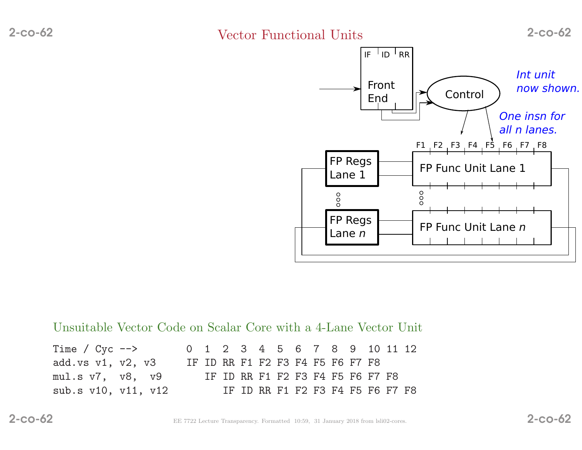Vector Functional Units 2-co-62



Unsuitable Vector Code on Scalar Core with <sup>a</sup> 4-Lane Vector Unit

| Time / $Cyc$ -->          |  |  |  |  |  | 0 1 2 3 4 5 6 7 8 9 10 11 12     |  |  |
|---------------------------|--|--|--|--|--|----------------------------------|--|--|
| add.vs $v1$ , $v2$ , $v3$ |  |  |  |  |  | IF ID RR F1 F2 F3 F4 F5 F6 F7 F8 |  |  |
| mul.s v7,  v8,  v9        |  |  |  |  |  | IF ID RR F1 F2 F3 F4 F5 F6 F7 F8 |  |  |
| sub.s v10, v11, v12       |  |  |  |  |  | IF ID RR F1 F2 F3 F4 F5 F6 F7 F8 |  |  |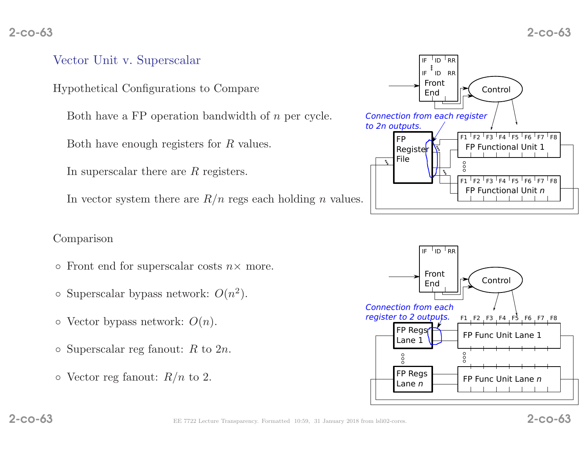#### 2-co-63

## Vector Unit v. Superscalar

Hypothetical Configurations to Compare

Both have a FP operation bandwidth of *n* per cycle.

Both have enough registers for  $R$  values.

In superscalar there are  $R$  registers.

In vector system there are  $R/n$  regs each holding n values.

#### Comparison

- Front end for superscalar costs  $n \times$  more.
- $\circ$  Superscalar bypass network:  $O(n^2)$ .
- $\circ$  Vector bypass network:  $O(n)$ .
- $\circ$  Superscalar reg fanout: R to 2n.
- $\circ$  Vector reg fanout:  $R/n$  to 2.





2-co-63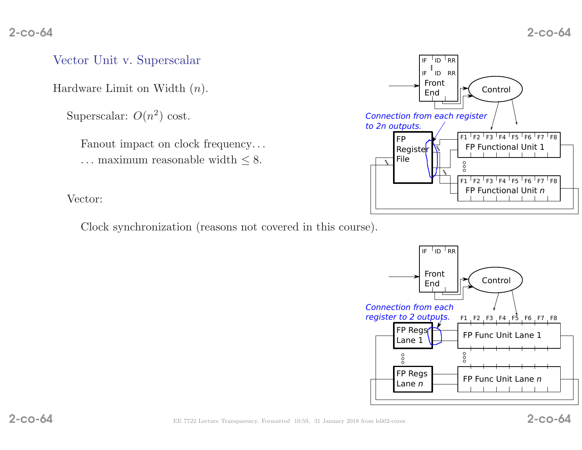#### Vector Unit v. Superscalar

Hardware Limit on Width  $(n)$ .

Superscalar:  $O(n^2)$  cost.

Fanout impact on clock frequency... ... maximum reasonable width  $\leq 8$ .



Vector:

Clock synchronization (reasons not covered in this course).

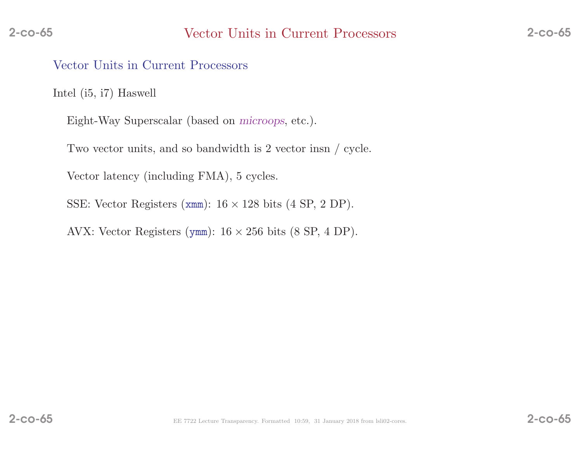#### Vector Units in Current Processors

Intel (i5, i7) Haswell

Eight-Way Superscalar (based on microops, etc.).

Two vector units, and so bandwidth is <sup>2</sup> vector insn / cycle.

Vector latency (including FMA), <sup>5</sup> cycles.

SSE: Vector Registers ( $xmm$ ):  $16 \times 128$  bits ( $4$  SP,  $2$  DP).

AVX: Vector Registers (ymm):  $16 \times 256$  bits  $(8 \text{ SP}, 4 \text{ DP})$ .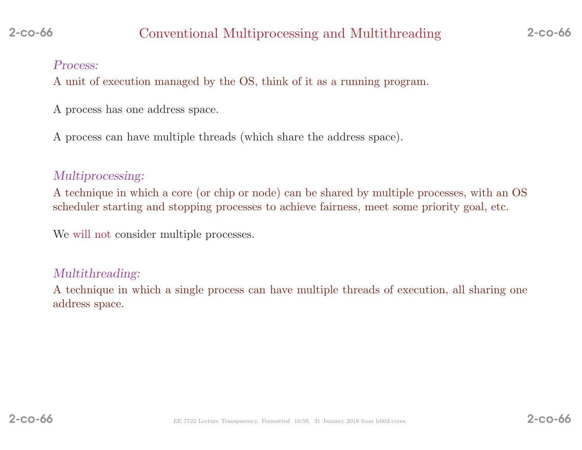#### Process:

<sup>A</sup> unit of execution managed by the OS, think of it as <sup>a</sup> running program.

- <sup>A</sup> process has one address space.
- <sup>A</sup> process can have multiple threads (which share the address space).

## Multiprocessing:

<sup>A</sup> technique in which <sup>a</sup> core (or chip or node) can be shared by multiple processes, with an OSscheduler starting and stopping processes to achieve fairness, meet some priority goal, etc.

We will not consider multiple processes.

#### Multithreading:

<sup>A</sup> technique in which <sup>a</sup> single process can have multiple threads of execution, all sharing one address space.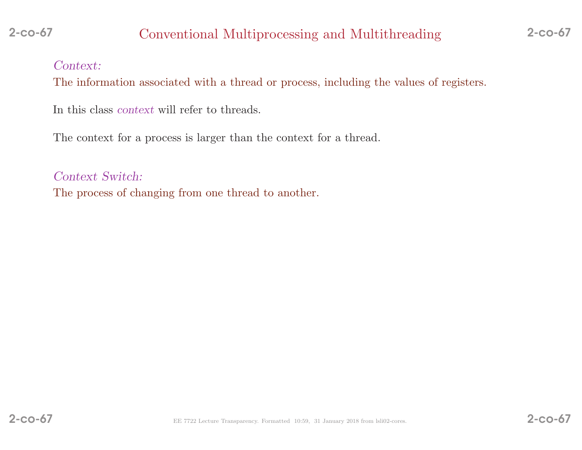## Context:

2-co-67

The information associated with <sup>a</sup> thread or process, including the values of registers.

In this class context will refer to threads.

The context for <sup>a</sup> process is larger than the context for <sup>a</sup> thread.

Context Switch: The process of changing from one thread to another.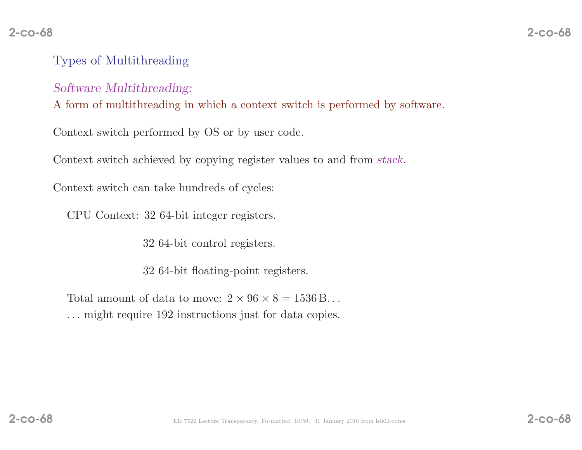# 8 2-co-68

## Types of Multithreading

#### Software Multithreading:

<sup>A</sup> form of multithreading in which <sup>a</sup> context switch is performed by software.

Context switch performed by OS or by user code.

Context switch achieved by copying register values to and from stack.

Context switch can take hundreds of cycles:

CPU Context: <sup>32</sup> 64-bit integer registers.

<sup>32</sup> 64-bit control registers.

<sup>32</sup> 64-bit floating-point registers.

Total amount of data to move:  $2 \times 96 \times 8 = 1536$  B... . . . might require <sup>192</sup> instructions just for data copies.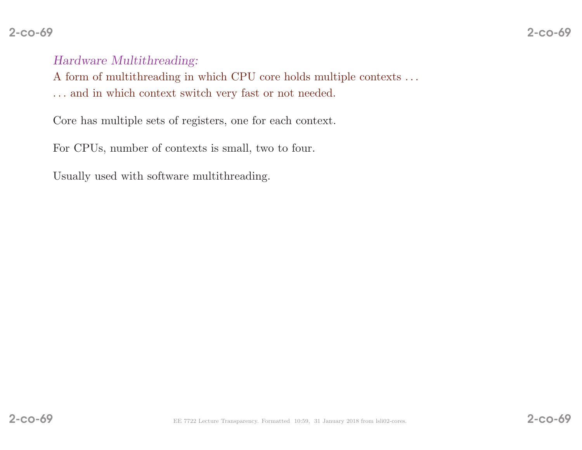#### 2-co-69

Hardware Multithreading:

A form of multithreading in which CPU core holds multiple contexts  $\ldots$ 

. . . and in which context switch very fast or not needed.

Core has multiple sets of registers, one for each context.

For CPUs, number of contexts is small, two to four.

Usually used with software multithreading.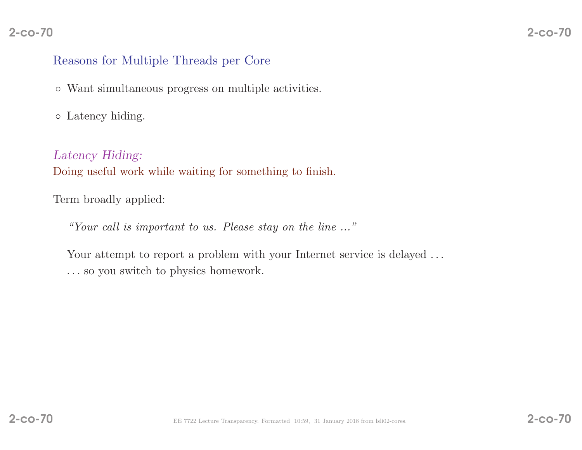## Reasons for Multiple Threads per Core

- Want simultaneous progress on multiple activities.
- Latency hiding.

Latency Hiding: Doing useful work while waiting for something to finish.

Term broadly applied:

"Your call is important to us. Please stay on the line ..."

Your attempt to report a problem with your Internet service is delayed ... . . . so you switch to <sup>p</sup>hysics homework.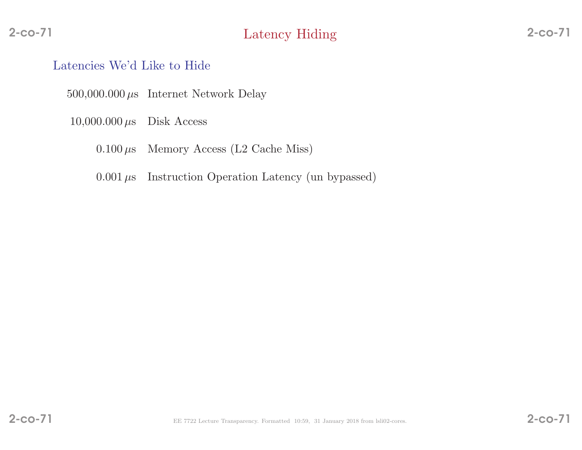#### Latencies We'd Like to Hide

 $500,000.000 \,\mu s$  Internet Network Delay

- $10,000.000 \,\mu s$  Disk Access
	- $0.100 \mu s$ Memory Access (L2 Cache Miss)
	- $0.001 \,\mu s$  Instruction Operation Latency (un bypassed)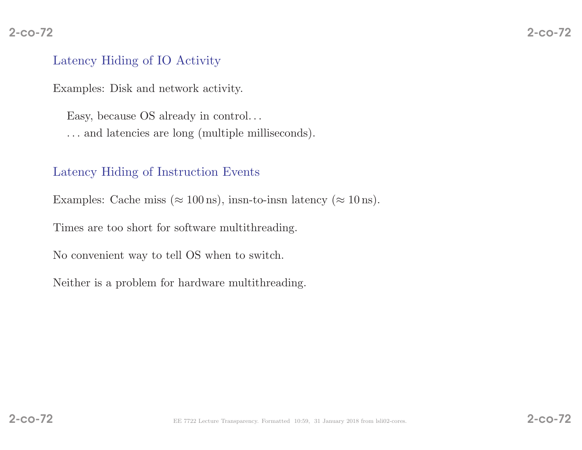#### 2-co-72

## Latency Hiding of IO Activity

Examples: Disk and network activity.

Easy, because OS already in control. . . . . . and latencies are long (multiple milliseconds).

## Latency Hiding of Instruction Events

Examples: Cache miss ( $\approx 100 \,\text{ns}$ ), insn-to-insn latency ( $\approx 10 \,\text{ns}$ ).

Times are too short for software multithreading.

No convenient way to tell OS when to switch.

Neither is <sup>a</sup> problem for hardware multithreading.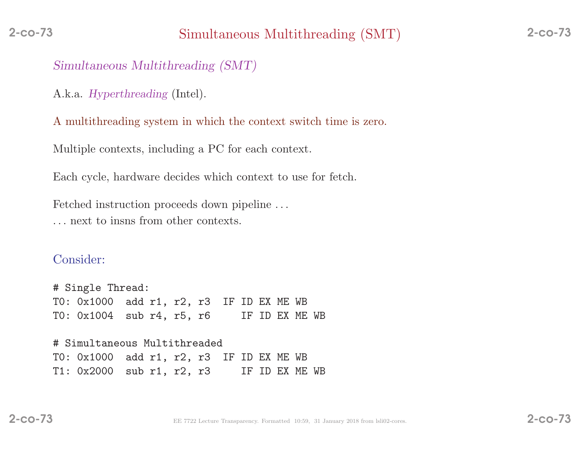### Simultaneous Multithreading (SMT)

A.k.a. Hyperthreading (Intel).

<sup>A</sup> multithreading system in which the context switch time is zero.

Multiple contexts, including <sup>a</sup> PC for each context.

Each cycle, hardware decides which context to use for fetch.

Fetched instruction proceeds down <sup>p</sup>ipeline . . . . . . next to insns from other contexts.

### Consider:

# Single Thread: T0: 0x1000 add r1, r2, r3 IF ID EX ME WB<br>T0: 0x1004 sub r4, r5, r6 IF ID EX ME WB T0:  $0x1004$  sub r4, r5, r6

# Simultaneous Multithreaded T0: 0x1000 add r1, r2, r3 IF ID EX ME WB<br>T1: 0x2000 sub r1, r2, r3 IF ID EX ME WB  $T1: 0x2000$  sub r1, r2, r3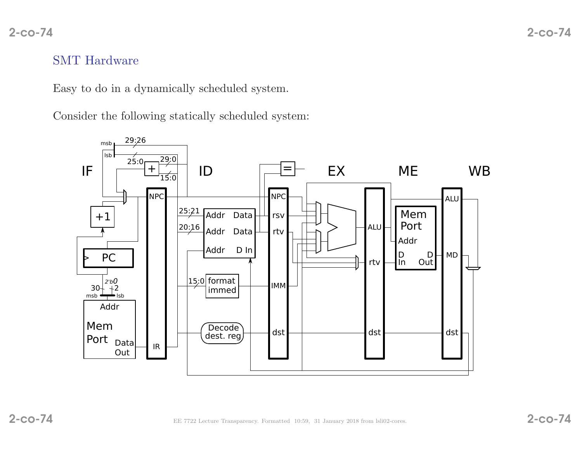## SMT Hardware

Easy to do in <sup>a</sup> dynamically scheduled system.

Consider the following statically scheduled system:

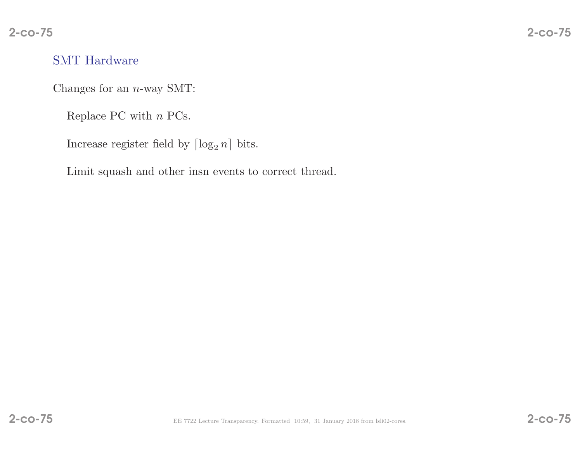# SMT Hardware

Changes for an  $n$ -way SMT:

Replace PC with  $n$  PCs.

Increase register field by  $\lceil \log_2 n \rceil$  bits.

Limit squas<sup>h</sup> and other insn events to correct thread.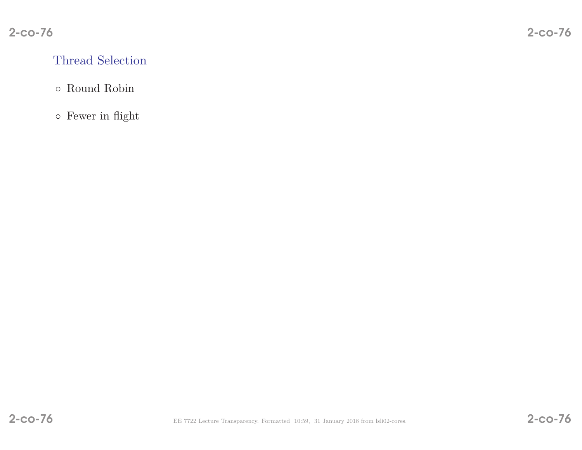# Thread Selection

# ◦ Round Robin

◦ Fewer in flight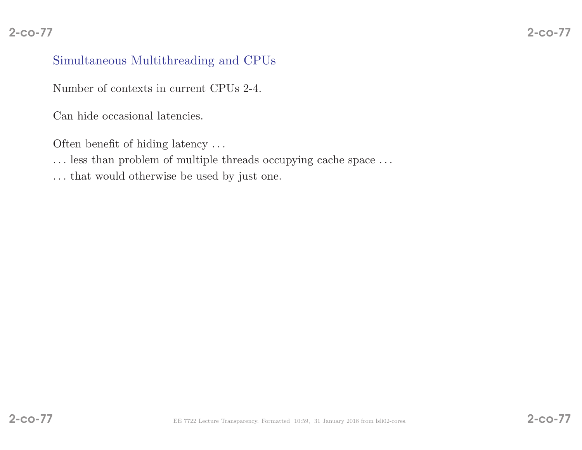# Simultaneous Multithreading and CPUs

Number of contexts in current CPUs 2-4.

Can hide occasional latencies.

Often benefit of hiding latency ...

 $\ldots$  less than problem of multiple threads occupying cache space  $\ldots$ 

. . . that would otherwise be used by just one.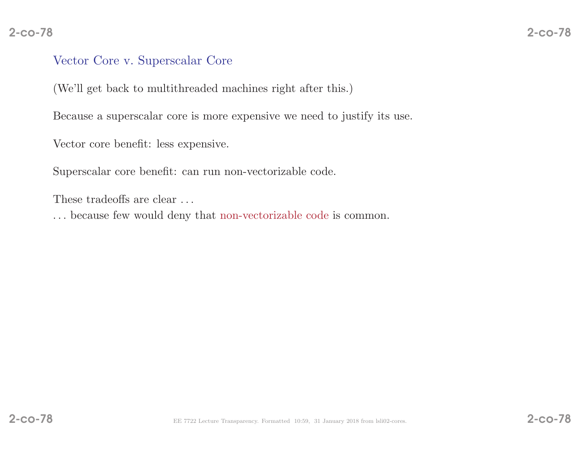### Vector Core v. Superscalar Core

(We'll get back to multithreaded machines right after this.)

Because <sup>a</sup> superscalar core is more expensive we need to justify its use.

Vector core benefit: less expensive.

Superscalar core benefit: can run non-vectorizable code.

These tradeoffs are clear ...

. . . because few would deny that non-vectorizable code is common.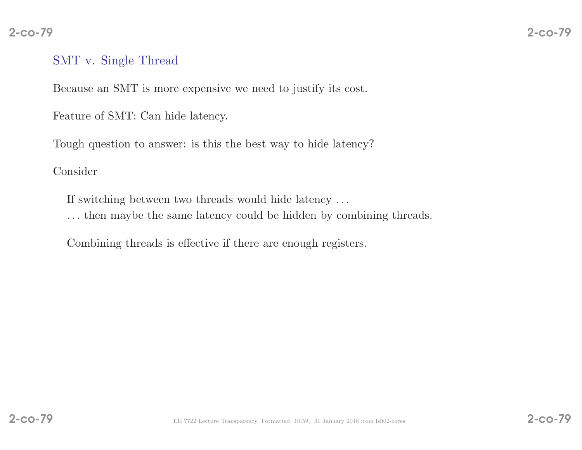# $\overline{2}$  – co-79

## SMT v. Single Thread

Because an SMT is more expensive we need to justify its cost.

Feature of SMT: Can hide latency.

Tough question to answer: is this the best way to hide latency?

Consider

If switching between two threads would hide latency . . .

. . . then maybe the same latency could be hidden by combining threads.

Combining threads is effective if there are enoug<sup>h</sup> registers.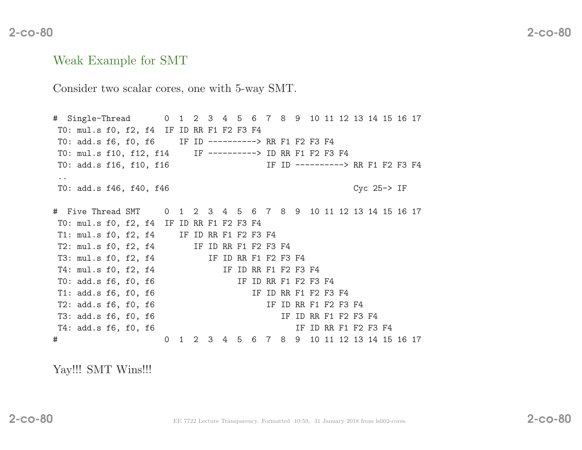#### Weak Example for SMT

Consider two scalar cores, one with 5-way SMT.

# Single-Thread <sup>0</sup> <sup>1</sup> <sup>2</sup> <sup>3</sup> <sup>4</sup> <sup>5</sup> <sup>6</sup> <sup>7</sup> <sup>8</sup> <sup>9</sup> <sup>10</sup> <sup>11</sup> <sup>12</sup> <sup>13</sup> <sup>14</sup> <sup>15</sup> <sup>16</sup> <sup>17</sup> T0: mul.s f0, f2, f4 IF ID RR F1 F2 F3 F4 T0: add.s f6, f0, f6 IF ID ----------> RR F1 F2 F3 F4 T0: mul.s f10, f12, f14 IF ----------> ID RR F1 F2 F3 F4 T0: add.s f16, f10, f16 IF ID ---------> RR F1 F2 F3 F4 ..T0: add.s f46, f40, f46 Cyc 25-> IF # Five Thread SMT <sup>0</sup> <sup>1</sup> <sup>2</sup> <sup>3</sup> <sup>4</sup> <sup>5</sup> <sup>6</sup> <sup>7</sup> <sup>8</sup> <sup>9</sup> <sup>10</sup> <sup>11</sup> <sup>12</sup> <sup>13</sup> <sup>14</sup> <sup>15</sup> <sup>16</sup> <sup>17</sup> T0: mul.s f0, f2, f4 IF ID RR F1 F2 F3 F4 T1: mul.s f0, f2, f4 IF ID RR F1 F2 F3 F4 T2: mul.s f0, f2, f4 IF ID RR F1 F2 F3 F4 T3: mul.s f0, f2, f4 IF ID RR F1 F2 F3 F4<br>T4: mul.s f0, f2, f4 IF ID RR F1 F2 F3 F4 T4: mul.s f0, f2, f4 IF ID RR F1 F2 F3 F4<br>T0: add.s f6, f0, f6 IF ID RR F1 F2 F3 F4 T0: add.s f6, f0, f6 <br>T1: add.s f6. f0. f6 <br>TF ID RR F1 F2 F3 F4 T1: add.s f6, f0, f6 <br>
T2: add.s f6, f0, f6 <br>
T2: add.s f6, f0, f6 <br>
IF ID RR F1 F2 F3 F4 T2: add.s f6, f0, f6 <br>
T3: add.s f6, f0, f6 <br>
T3: add.s f6, f0, f6 <br>
IF ID RR F1 F2 F3 F4 T3: add.s f6, f0, f6 <br>
T4: add.s f6, f0, f6 <br>
T4: add.s f6, f0, f6 <br>
IF ID RR F1 F2 F3 F4 T4:  $add.s$  f6, f0, f6 # <sup>0</sup> <sup>1</sup> <sup>2</sup> <sup>3</sup> <sup>4</sup> <sup>5</sup> <sup>6</sup> <sup>7</sup> <sup>8</sup> <sup>9</sup> <sup>10</sup> <sup>11</sup> <sup>12</sup> <sup>13</sup> <sup>14</sup> <sup>15</sup> <sup>16</sup> <sup>17</sup>

Yay!!! SMT Wins!!!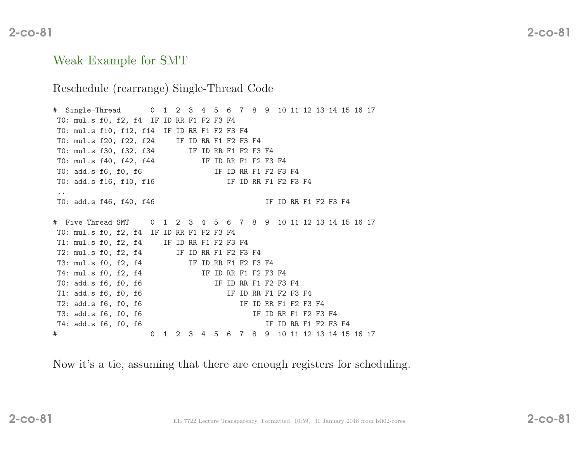# $\sim$  2-co-81

### Weak Example for SMT

#### Reschedule (rearrange) Single-Thread Code

# Single-Thread <sup>0</sup> <sup>1</sup> <sup>2</sup> <sup>3</sup> <sup>4</sup> <sup>5</sup> <sup>6</sup> <sup>7</sup> <sup>8</sup> <sup>9</sup> <sup>10</sup> <sup>11</sup> <sup>12</sup> <sup>13</sup> <sup>14</sup> <sup>15</sup> <sup>16</sup> <sup>17</sup> T0: mul.s f0, f2, f4 IF ID RR F1 F2 F3 F4 T0: mul.s f10, f12, f14 IF ID RR F1 F2 F3 F4<br>T0: mul.s f20, f22, f24 IF ID RR F1 F2 F3 F4 T0: mul.s f20, f22, f24<br>T0: mul.s f30, f32, f34 IF ID RR F1 F2 F3 F4<br>IF ID RR F1 F2 F3 F4 T0: mul.s f40, f42, f44<br>T0: add.s f6, f0, f6 IF ID RR F1 F2 F3 F4<br>IF ID RR F1 F2 F3 F4 T0: add.s f16, f10, f16 ..T0: add.s f46, f40, f46 IF ID RR F1 F2 F3 F4 # Five Thread SMT <sup>0</sup> <sup>1</sup> <sup>2</sup> <sup>3</sup> <sup>4</sup> <sup>5</sup> <sup>6</sup> <sup>7</sup> <sup>8</sup> <sup>9</sup> <sup>10</sup> <sup>11</sup> <sup>12</sup> <sup>13</sup> <sup>14</sup> <sup>15</sup> <sup>16</sup> <sup>17</sup> T0: mul.s f0, f2, f4 IF ID RR F1 F2 F3 F4 T1: mul.s f0, f2, f4 IF ID RR F1 F2 F3 F4 T2:  $mul.s f0, f2, f4$ T3: mul.s f0, f2, f4 IF ID RR F1 F2 F3 F4<br>T4: mul.s f0, f2, f4 IF ID RR F1 F2 F3 IF ID RR F1 F2 F3 F4 T0: add.s f6, f0, f6 IF ID RR F1 F2 F3 F4 T1:  $add.s$  f6, f0, f6 T2: add.s f6, f0, f6 <br>
T3: add.s f6, f0, f6 <br>
T3: add.s f6, f0, f6 <br>
IF ID RR F1 F2 F3 IF ID RR F1 F2 F3 F4 T4: add.s f6, f0, f6 IF ID RR F1 F2 F3 F4 # <sup>0</sup> <sup>1</sup> <sup>2</sup> <sup>3</sup> <sup>4</sup> <sup>5</sup> <sup>6</sup> <sup>7</sup> <sup>8</sup> <sup>9</sup> <sup>10</sup> <sup>11</sup> <sup>12</sup> <sup>13</sup> <sup>14</sup> <sup>15</sup> <sup>16</sup> <sup>17</sup>

Now it's <sup>a</sup> tie, assuming that there are enoug<sup>h</sup> registers for scheduling.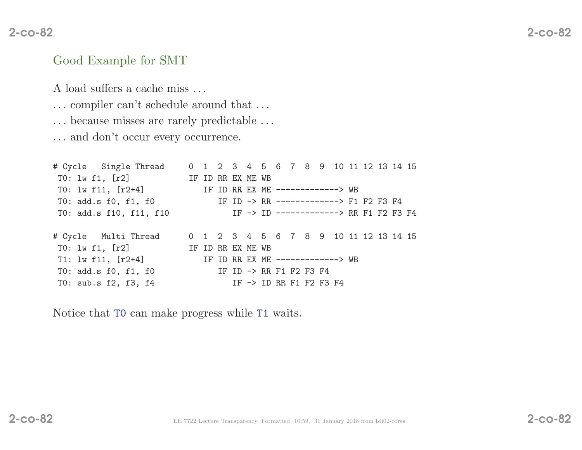## Good Example for SMT

<sup>A</sup> load suffers <sup>a</sup> cache miss . . .

- . . . compiler can't schedule around that . . .
- . . . because misses are rarely predictable . . .

. . . and don't occur every occurrence.

# Cycle Single Thread <sup>0</sup> <sup>1</sup> <sup>2</sup> <sup>3</sup> <sup>4</sup> <sup>5</sup> <sup>6</sup> <sup>7</sup> <sup>8</sup> <sup>9</sup> <sup>10</sup> <sup>11</sup> <sup>12</sup> <sup>13</sup> <sup>14</sup> <sup>15</sup> TO: lw f1, [r2] IF ID RR EX ME WB<br>TO: lw f11, [r2+4] IF ID RR EX ME T0: lw f11, [r2+4] IF ID RR EX ME -------------> WB<br>T0: add.s f0, f1, f0 IF ID -> RR -------------> F1 T0: add.s f0, f1, f0 <br>TD -> RR -------------> F1 F2 F3 F4<br>T0: add.s f10, f11, f10 <br>IF -> ID -------------> RR F1 F2 F3 IF -> ID -------------> RR F1 F2 F3 F4 # Cycle Multi Thread <sup>0</sup> <sup>1</sup> <sup>2</sup> <sup>3</sup> <sup>4</sup> <sup>5</sup> <sup>6</sup> <sup>7</sup> <sup>8</sup> <sup>9</sup> <sup>10</sup> <sup>11</sup> <sup>12</sup> <sup>13</sup> <sup>14</sup> <sup>15</sup> T0: lw f1, [r2] IF ID RR EX ME WB<br>T1: lw f11, [r2+4] IF ID RR EX ME IF ID RR EX ME -------------> WB<br>IF ID -> RR F1 F2 F3 F4 T0: add.s f0, f1, f0<br>T0: sub.s f2, f3, f4 IF  $\rightarrow$  ID RR F1 F2 F3 F4

Notice that T0 can make progress while T1 waits.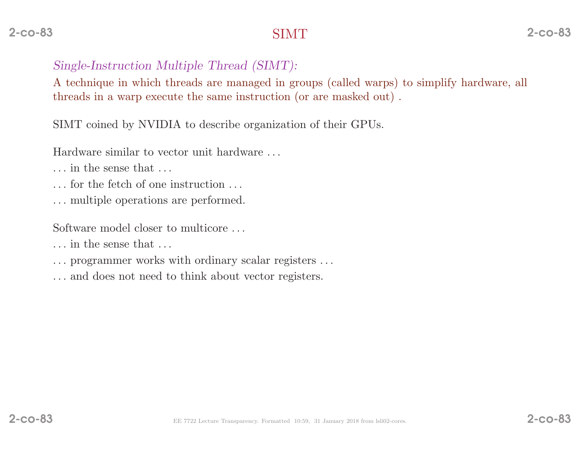# Single-Instruction Multiple Thread (SIMT):

<sup>A</sup> technique in which threads are managed in groups (called warps) to simplify hardware, all threads in <sup>a</sup> warp execute the same instruction (or are masked out) .

SIMT coined by NVIDIA to describe organization of their GPUs.

Hardware similar to vector unit hardware . . .

. . . in the sense that . . .

. . . for the fetch of one instruction . . .

. . . multiple operations are performed.

Software model closer to multicore . . .

. . . in the sense that . . .

- . . . programmer works with ordinary scalar registers . . .
- . . . and does not need to think about vector registers.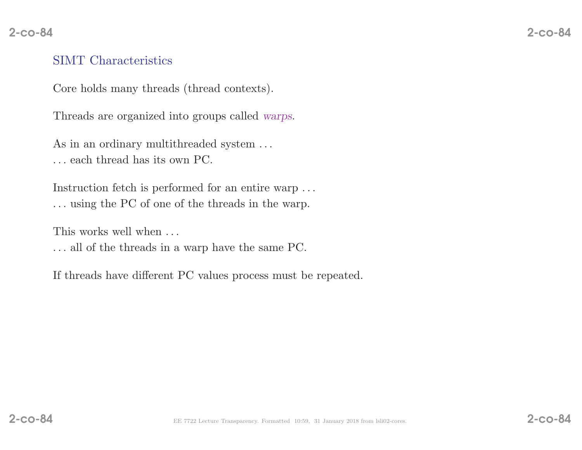# SIMT Characteristics

Core holds many threads (thread contexts).

Threads are organized into groups called warps.

As in an ordinary multithreaded system ... . . . each thread has its own PC.

Instruction fetch is performed for an entire warp . . . . . . using the PC of one of the threads in the warp.

This works well when  $\dots$ 

. . . all of the threads in <sup>a</sup> warp have the same PC.

If threads have different PC values process must be repeated.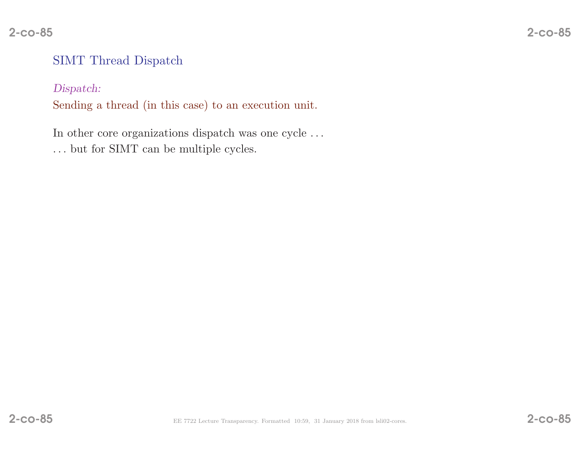# SIMT Thread Dispatch

### Dispatch:

Sending <sup>a</sup> thread (in this case) to an execution unit.

In other core organizations dispatch was one cycle  $\ldots$  $\ldots$  but for SIMT can be multiple cycles.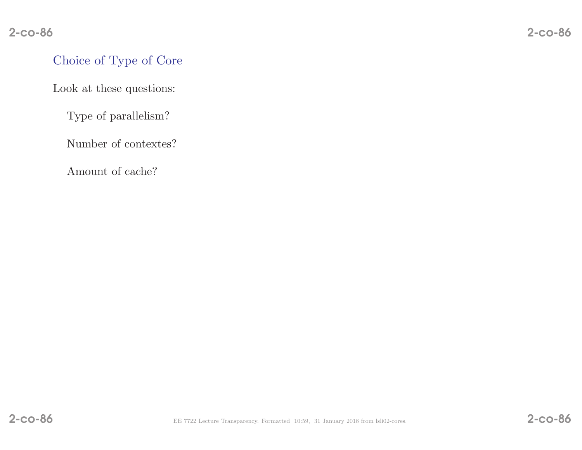# Choice of Type of Core

Look at these questions:

Type of parallelism?

Number of contextes?

Amount of cache?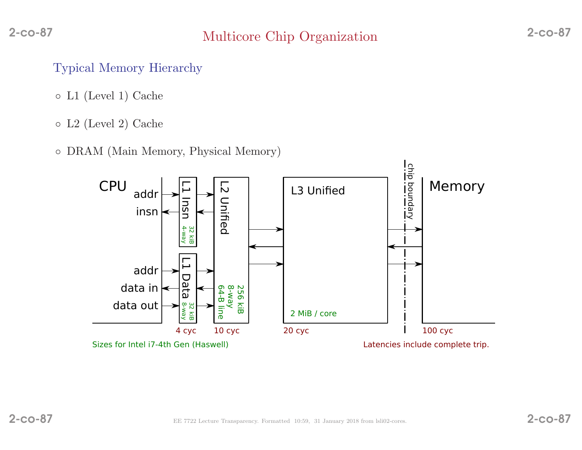## Typical Memory Hierarchy

- L1 (Level 1) Cache
- L2 (Level 2) Cache
- DRAM (Main Memory, Physical Memory)

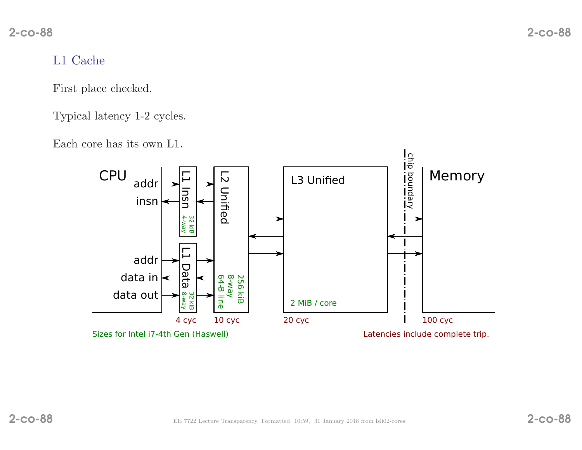## L1 Cache

First <sup>p</sup>lace checked.

Typical latency 1-2 cycles.

Each core has its own L1.

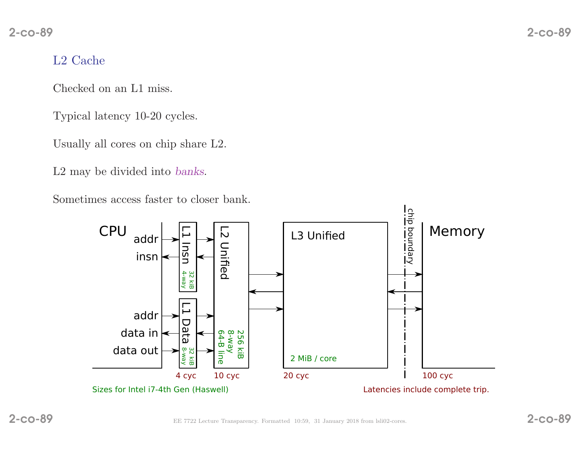## L2 Cache

Checked on an L1 miss.

Typical latency 10-20 cycles.

Usually all cores on chip share L2.

L2 may be divided into banks.

Sometimes access faster to closer bank.

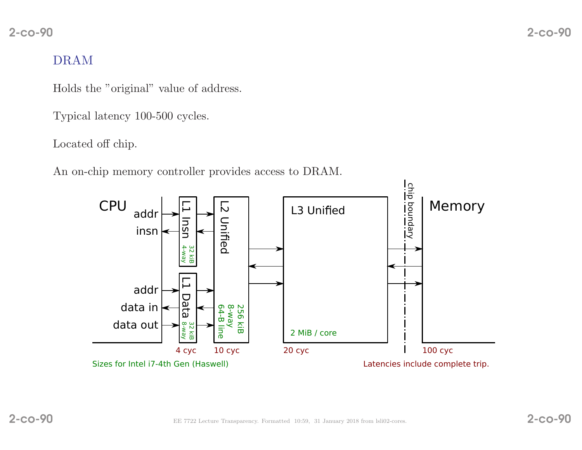# DRAM

Holds the "original" value of address.

Typical latency 100-500 cycles.

Located off chip.

An on-chip memory controller provides access to DRAM.

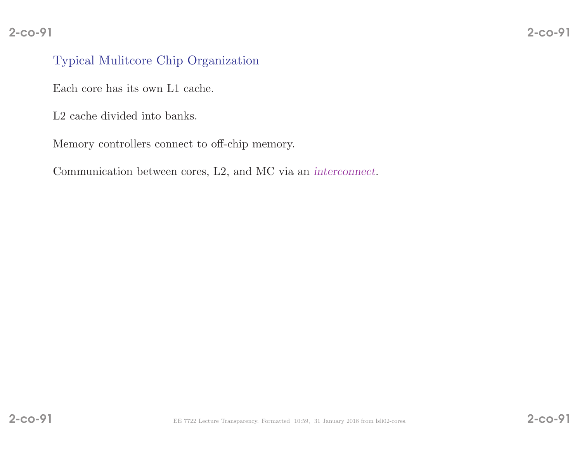## Typical Mulitcore Chip Organization

Each core has its own L1 cache.

L2 cache divided into banks.

Memory controllers connect to off-chip memory.

Communication between cores, L<sub>2</sub>, and MC via an *interconnect*.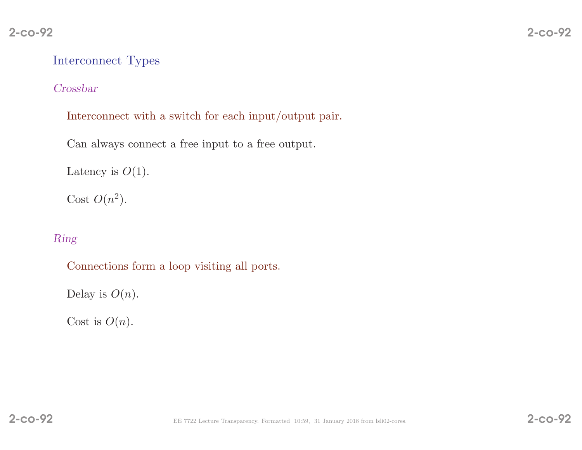## Interconnect Types

### Crossbar

Interconnect with <sup>a</sup> switch for each input/output pair.

Can always connect <sup>a</sup> free input to <sup>a</sup> free output.

```
Latency is O(1).
```
Cost  $O(n^2)$ .

### Ring

Connections form <sup>a</sup> loop visiting all ports.

Delay is  $O(n)$ .

Cost is  $O(n)$ .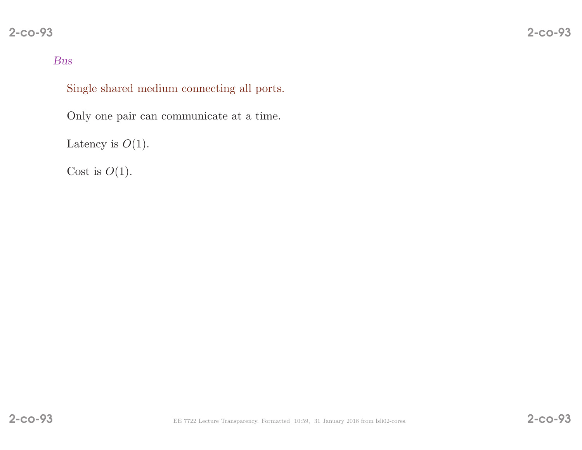### Bus

Single shared medium connecting all ports.

Only one pair can communicate at <sup>a</sup> time.

Latency is  $O(1)$ .

Cost is  $O(1)$ .